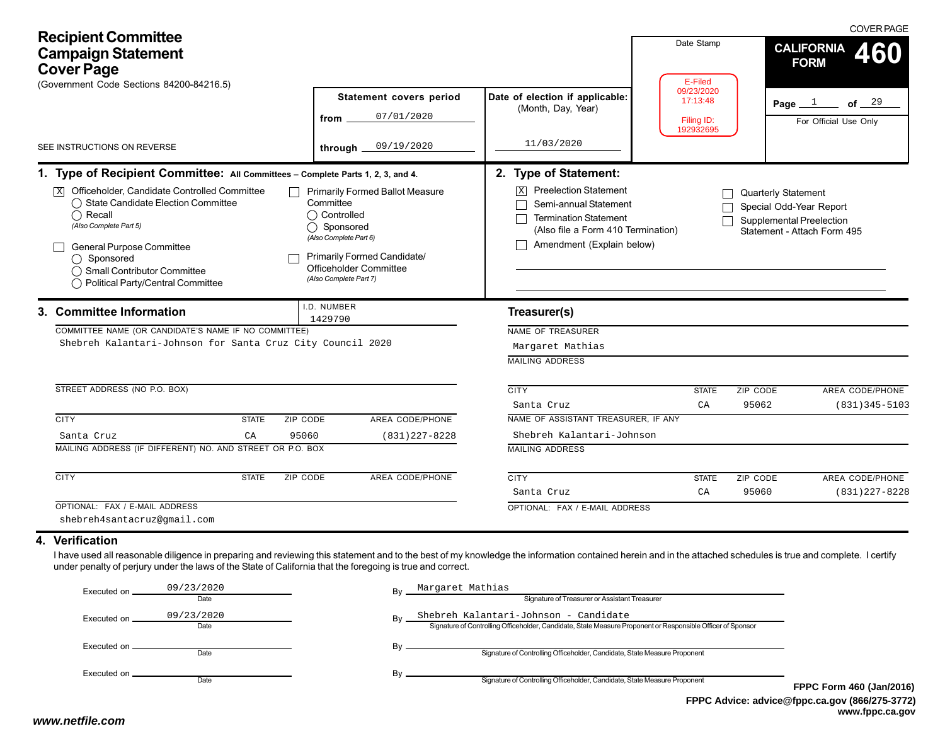| <b>Recipient Committee</b><br><b>Campaign Statement</b><br><b>Cover Page</b><br>(Government Code Sections 84200-84216.5)                                                                                                                                                                                                                                        | <b>Statement covers period</b><br>07/01/2020<br>from                                                                                                                                       | Date Stamp<br>E-Filed<br>09/23/2020<br>17:13:48<br>Filing ID:<br>192932695                                                                                                                            |                    | <b>COVER PAGE</b><br><b>CALIFORNIA</b><br><b>FORM</b><br>Page $1$ of $29$<br>For Official Use Only |                                      |
|-----------------------------------------------------------------------------------------------------------------------------------------------------------------------------------------------------------------------------------------------------------------------------------------------------------------------------------------------------------------|--------------------------------------------------------------------------------------------------------------------------------------------------------------------------------------------|-------------------------------------------------------------------------------------------------------------------------------------------------------------------------------------------------------|--------------------|----------------------------------------------------------------------------------------------------|--------------------------------------|
| SEE INSTRUCTIONS ON REVERSE                                                                                                                                                                                                                                                                                                                                     | 09/19/2020<br>through _                                                                                                                                                                    | 11/03/2020                                                                                                                                                                                            |                    |                                                                                                    |                                      |
| 1. Type of Recipient Committee: All Committees - Complete Parts 1, 2, 3, and 4.<br>$\overline{X}$ Officeholder, Candidate Controlled Committee<br>◯ State Candidate Election Committee<br>$\bigcap$ Recall<br>(Also Complete Part 5)<br><b>General Purpose Committee</b><br>◯ Sponsored<br>◯ Small Contributor Committee<br>◯ Political Party/Central Committee | □ Primarily Formed Ballot Measure<br>Committee<br>◯ Controlled<br>◯ Sponsored<br>(Also Complete Part 6)<br>Primarily Formed Candidate/<br>Officeholder Committee<br>(Also Complete Part 7) | 2. Type of Statement:<br><b>Preelection Statement</b><br>Semi-annual Statement<br><b>Termination Statement</b><br>(Also file a Form 410 Termination)<br>Amendment (Explain below)                     |                    | <b>Quarterly Statement</b><br>Special Odd-Year Report<br><b>Supplemental Preelection</b>           | Statement - Attach Form 495          |
| 3. Committee Information<br>COMMITTEE NAME (OR CANDIDATE'S NAME IF NO COMMITTEE)<br>Shebreh Kalantari-Johnson for Santa Cruz City Council 2020<br>STREET ADDRESS (NO P.O. BOX)                                                                                                                                                                                  | I.D. NUMBER<br>1429790                                                                                                                                                                     | Treasurer(s)<br>NAME OF TREASURER<br>Margaret Mathias<br><b>MAILING ADDRESS</b><br><b>CITY</b><br>Santa Cruz                                                                                          | <b>STATE</b><br>CA | ZIP CODE<br>95062                                                                                  | AREA CODE/PHONE<br>$(831)345 - 5103$ |
| <b>CITY</b><br>ZIP CODE<br><b>STATE</b><br>CA<br>95060<br>Santa Cruz<br>MAILING ADDRESS (IF DIFFERENT) NO. AND STREET OR P.O. BOX<br><b>CITY</b><br><b>STATE</b><br><b>ZIP CODE</b>                                                                                                                                                                             | AREA CODE/PHONE<br>$(831)$ 227-8228<br>AREA CODE/PHONE                                                                                                                                     | NAME OF ASSISTANT TREASURER, IF ANY<br>Shebreh Kalantari-Johnson<br><b>MAILING ADDRESS</b><br><b>CITY</b>                                                                                             | <b>STATE</b>       | ZIP CODE                                                                                           | AREA CODE/PHONE                      |
| OPTIONAL: FAX / E-MAIL ADDRESS<br>shebreh4santacruz@gmail.com                                                                                                                                                                                                                                                                                                   |                                                                                                                                                                                            | Santa Cruz<br>OPTIONAL: FAX / E-MAIL ADDRESS                                                                                                                                                          | CA                 | 95060                                                                                              | $(831)$ $227 - 8228$                 |
| 4. Verification<br>I have used all reasonable diligence in preparing and reviewing this statement and to the best of my knowledge the information contained herein and in the attached schedules is true and complete. I certify<br>under penalty of perjury under the laws of the State of California that the foregoing is true and correct.                  |                                                                                                                                                                                            |                                                                                                                                                                                                       |                    |                                                                                                    |                                      |
| 09/23/2020<br>Executed on ___<br>Date<br>09/23/2020<br>Executed on _<br>Date                                                                                                                                                                                                                                                                                    | Margaret Mathias                                                                                                                                                                           | Signature of Treasurer or Assistant Treasurer<br>Shebreh Kalantari-Johnson - Candidate<br>Signature of Controlling Officeholder, Candidate, State Measure Proponent or Responsible Officer of Sponsor |                    |                                                                                                    |                                      |

By **Signature of Controlling Officeholder**, Candidate, State Measure Proponent

By  $\overline{\phantom{0}}$  Signature of Controlling Officeholder, Candidate, State Measure Proponent

Executed on Date

Date

Executed on \_\_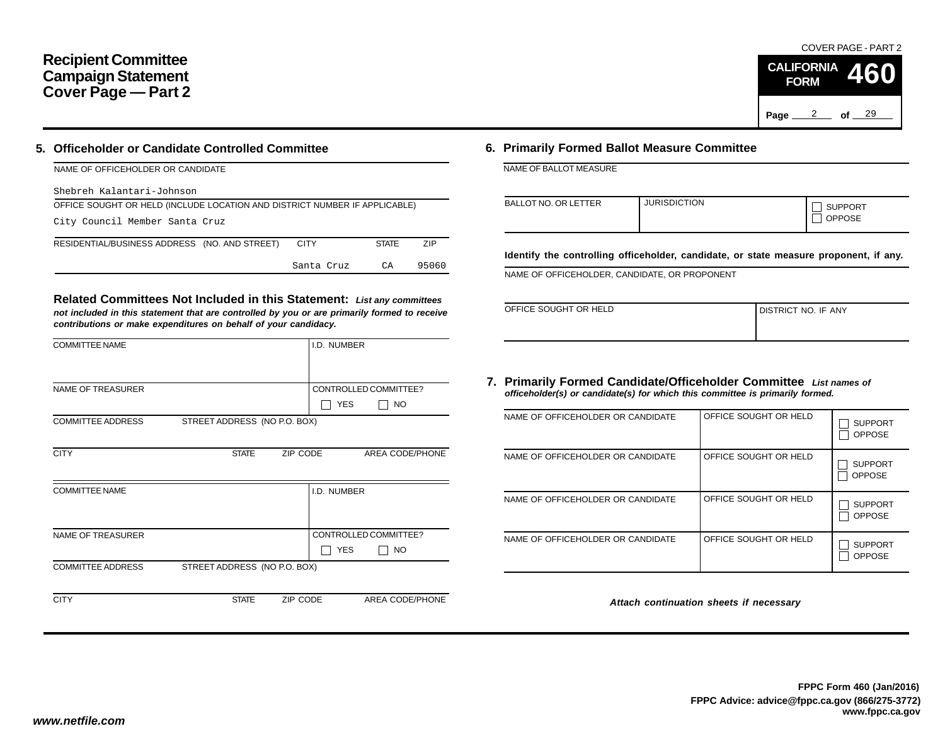#### **Recipient Committee Campaign Statement Cover Page — Part 2**

#### **5. Officeholder or Candidate Controlled Committee**

| NAME OF OFFICEHOLDER OR CANDIDATE                                          |             |              |       |
|----------------------------------------------------------------------------|-------------|--------------|-------|
| Shebreh Kalantari-Johnson                                                  |             |              |       |
| OFFICE SOUGHT OR HELD (INCLUDE LOCATION AND DISTRICT NUMBER IF APPLICABLE) |             |              |       |
| City Council Member Santa Cruz                                             |             |              |       |
| RESIDENTIAL/BUSINESS ADDRESS (NO. AND STREET)                              | <b>CITY</b> | <b>STATE</b> | 7IP   |
|                                                                            | Santa Cruz  | CA           | 95060 |

**Related Committees Not Included in this Statement:** *List any committees not included in this statement that are controlled by you or are primarily formed to receive contributions or make expenditures on behalf of your candidacy.*

|              | I.D. NUMBER |                                                                                      |
|--------------|-------------|--------------------------------------------------------------------------------------|
|              |             |                                                                                      |
|              |             | CONTROLLED COMMITTEE?                                                                |
|              | <b>YES</b>  | <b>NO</b>                                                                            |
|              |             |                                                                                      |
|              |             |                                                                                      |
| <b>STATE</b> |             | AREA CODE/PHONE                                                                      |
|              |             |                                                                                      |
|              | I.D. NUMBER |                                                                                      |
|              |             |                                                                                      |
|              |             |                                                                                      |
|              |             | CONTROLLED COMMITTEE?                                                                |
|              | <b>YES</b>  | NO                                                                                   |
|              |             |                                                                                      |
|              |             |                                                                                      |
| <b>STATE</b> |             | AREA CODE/PHONE                                                                      |
|              |             | STREET ADDRESS (NO P.O. BOX)<br>ZIP CODE<br>STREET ADDRESS (NO P.O. BOX)<br>ZIP CODE |

#### **6. Primarily Formed Ballot Measure Committee**

| NAME OF BALLOT MEASURE |  |
|------------------------|--|
|------------------------|--|

| <b>BALLOT NO. OR LETTER</b> | <b>JURISDICTION</b> | <b>SUPPORT</b><br><b>OPPOSE</b> |
|-----------------------------|---------------------|---------------------------------|
|-----------------------------|---------------------|---------------------------------|

**Identify the controlling officeholder, candidate, or state measure proponent, if any.**

NAME OF OFFICEHOLDER, CANDIDATE, OR PROPONENT

| OFFICE SOUGHT OR HELD | I DISTRICT NO. IF ANY |
|-----------------------|-----------------------|
|                       |                       |

#### **7. Primarily Formed Candidate/Officeholder Committee** *List names of officeholder(s) or candidate(s) for which this committee is primarily formed.*

| NAME OF OFFICEHOLDER OR CANDIDATE | OFFICE SOUGHT OR HELD | <b>SUPPORT</b><br><b>OPPOSE</b> |
|-----------------------------------|-----------------------|---------------------------------|
| NAME OF OFFICEHOLDER OR CANDIDATE | OFFICE SOUGHT OR HELD | <b>SUPPORT</b><br><b>OPPOSE</b> |
| NAME OF OFFICEHOLDER OR CANDIDATE | OFFICE SOUGHT OR HELD | <b>SUPPORT</b><br><b>OPPOSE</b> |
| NAME OF OFFICEHOLDER OR CANDIDATE | OFFICE SOUGHT OR HELD | <b>SUPPORT</b><br><b>OPPOSE</b> |

*Attach continuation sheets if necessary*

COVER PAGE - PART 2

**460**

Page <u>2</u> of 29

**CALIFORNIA FORM**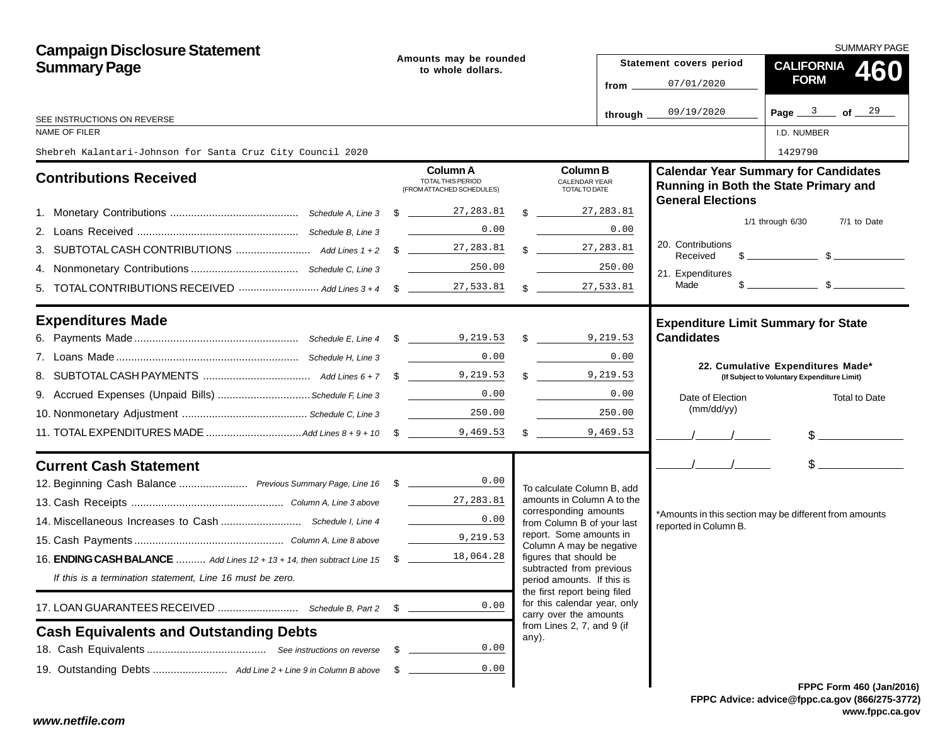| <b>Campaign Disclosure Statement</b>                                              |      |                                                                                                                                                                                                                                                                                                                                                                           |  |                                                                                        |                         |                                                                 | <b>SUMMARY PAGE</b>                                                                                                                                                                                                                                                                                                 |
|-----------------------------------------------------------------------------------|------|---------------------------------------------------------------------------------------------------------------------------------------------------------------------------------------------------------------------------------------------------------------------------------------------------------------------------------------------------------------------------|--|----------------------------------------------------------------------------------------|-------------------------|-----------------------------------------------------------------|---------------------------------------------------------------------------------------------------------------------------------------------------------------------------------------------------------------------------------------------------------------------------------------------------------------------|
| <b>Summary Page</b>                                                               |      | Amounts may be rounded<br>to whole dollars.                                                                                                                                                                                                                                                                                                                               |  |                                                                                        | Statement covers period | <b>CALIFORNIA</b><br>460                                        |                                                                                                                                                                                                                                                                                                                     |
|                                                                                   |      |                                                                                                                                                                                                                                                                                                                                                                           |  |                                                                                        | from $-$                | 07/01/2020                                                      | <b>FORM</b>                                                                                                                                                                                                                                                                                                         |
|                                                                                   |      |                                                                                                                                                                                                                                                                                                                                                                           |  |                                                                                        | through.                | 09/19/2020                                                      | Page $3$ of $29$                                                                                                                                                                                                                                                                                                    |
| SEE INSTRUCTIONS ON REVERSE<br>NAME OF FILER                                      |      |                                                                                                                                                                                                                                                                                                                                                                           |  |                                                                                        |                         |                                                                 | I.D. NUMBER                                                                                                                                                                                                                                                                                                         |
| Shebreh Kalantari-Johnson for Santa Cruz City Council 2020                        |      |                                                                                                                                                                                                                                                                                                                                                                           |  |                                                                                        |                         |                                                                 | 1429790                                                                                                                                                                                                                                                                                                             |
| <b>Contributions Received</b>                                                     |      | Column A<br>TOTAL THIS PERIOD<br>(FROM ATTACHED SCHEDULES)                                                                                                                                                                                                                                                                                                                |  | <b>Column B</b><br><b>CALENDAR YEAR</b><br>TOTAL TO DATE                               |                         | <b>General Elections</b>                                        | <b>Calendar Year Summary for Candidates</b><br>Running in Both the State Primary and                                                                                                                                                                                                                                |
|                                                                                   |      | $\frac{27,283.81}{2}$                                                                                                                                                                                                                                                                                                                                                     |  | $\frac{1}{3}$ 27, 283.81                                                               |                         |                                                                 |                                                                                                                                                                                                                                                                                                                     |
|                                                                                   |      | 0.00                                                                                                                                                                                                                                                                                                                                                                      |  |                                                                                        | 0.00                    |                                                                 | $1/1$ through $6/30$<br>7/1 to Date                                                                                                                                                                                                                                                                                 |
|                                                                                   |      |                                                                                                                                                                                                                                                                                                                                                                           |  | $\frac{1}{27,283.81}$                                                                  |                         | 20. Contributions<br>Received                                   | $\frac{1}{2}$ $\frac{1}{2}$ $\frac{1}{2}$ $\frac{1}{2}$ $\frac{1}{2}$ $\frac{1}{2}$ $\frac{1}{2}$ $\frac{1}{2}$ $\frac{1}{2}$ $\frac{1}{2}$ $\frac{1}{2}$ $\frac{1}{2}$ $\frac{1}{2}$ $\frac{1}{2}$ $\frac{1}{2}$ $\frac{1}{2}$ $\frac{1}{2}$ $\frac{1}{2}$ $\frac{1}{2}$ $\frac{1}{2}$ $\frac{1}{2}$ $\frac{1}{2}$ |
|                                                                                   |      | 250.00                                                                                                                                                                                                                                                                                                                                                                    |  |                                                                                        | 250.00                  | 21. Expenditures                                                |                                                                                                                                                                                                                                                                                                                     |
|                                                                                   |      |                                                                                                                                                                                                                                                                                                                                                                           |  | $\mathbb{S}$                                                                           | 27,533.81               | Made                                                            | $\frac{1}{2}$ $\frac{1}{2}$ $\frac{1}{2}$ $\frac{1}{2}$ $\frac{1}{2}$ $\frac{1}{2}$ $\frac{1}{2}$ $\frac{1}{2}$ $\frac{1}{2}$ $\frac{1}{2}$ $\frac{1}{2}$ $\frac{1}{2}$ $\frac{1}{2}$ $\frac{1}{2}$ $\frac{1}{2}$ $\frac{1}{2}$ $\frac{1}{2}$ $\frac{1}{2}$ $\frac{1}{2}$ $\frac{1}{2}$ $\frac{1}{2}$ $\frac{1}{2}$ |
| <b>Expenditures Made</b>                                                          |      |                                                                                                                                                                                                                                                                                                                                                                           |  |                                                                                        |                         | <b>Expenditure Limit Summary for State</b><br><b>Candidates</b> |                                                                                                                                                                                                                                                                                                                     |
|                                                                                   |      | 0.00                                                                                                                                                                                                                                                                                                                                                                      |  |                                                                                        | 0.00                    |                                                                 |                                                                                                                                                                                                                                                                                                                     |
|                                                                                   |      |                                                                                                                                                                                                                                                                                                                                                                           |  | 9,219.53                                                                               |                         |                                                                 | 22. Cumulative Expenditures Made*<br>(If Subject to Voluntary Expenditure Limit)                                                                                                                                                                                                                                    |
| 9. Accrued Expenses (Unpaid Bills)  Schedule F, Line 3                            |      | 0.00                                                                                                                                                                                                                                                                                                                                                                      |  |                                                                                        | 0.00                    | Date of Election                                                | <b>Total to Date</b>                                                                                                                                                                                                                                                                                                |
|                                                                                   |      | 250.00<br>$\label{eq:2} \mathcal{L} = \frac{1}{2} \sum_{i=1}^n \frac{1}{2} \sum_{i=1}^n \frac{1}{2} \sum_{i=1}^n \frac{1}{2} \sum_{i=1}^n \frac{1}{2} \sum_{i=1}^n \frac{1}{2} \sum_{i=1}^n \frac{1}{2} \sum_{i=1}^n \frac{1}{2} \sum_{i=1}^n \frac{1}{2} \sum_{i=1}^n \frac{1}{2} \sum_{i=1}^n \frac{1}{2} \sum_{i=1}^n \frac{1}{2} \sum_{i=1}^n \frac{1}{2} \sum_{i=1}$ |  |                                                                                        | 250.00                  | (mm/dd/yy)                                                      |                                                                                                                                                                                                                                                                                                                     |
|                                                                                   |      |                                                                                                                                                                                                                                                                                                                                                                           |  | $\frac{1}{2}$ 9,469.53                                                                 |                         |                                                                 | $$$ $$$                                                                                                                                                                                                                                                                                                             |
| <b>Current Cash Statement</b>                                                     |      |                                                                                                                                                                                                                                                                                                                                                                           |  |                                                                                        |                         | $\sqrt{1}$                                                      | $\frac{1}{2}$                                                                                                                                                                                                                                                                                                       |
| 12. Beginning Cash Balance  Previous Summary Page, Line 16 \$ _______________0.00 |      |                                                                                                                                                                                                                                                                                                                                                                           |  | To calculate Column B, add                                                             |                         |                                                                 |                                                                                                                                                                                                                                                                                                                     |
|                                                                                   |      | 27,283.81                                                                                                                                                                                                                                                                                                                                                                 |  | amounts in Column A to the<br>corresponding amounts                                    |                         |                                                                 |                                                                                                                                                                                                                                                                                                                     |
|                                                                                   |      | 0.00                                                                                                                                                                                                                                                                                                                                                                      |  | from Column B of your last                                                             |                         | reported in Column B.                                           | *Amounts in this section may be different from amounts                                                                                                                                                                                                                                                              |
|                                                                                   |      | 9,219.53                                                                                                                                                                                                                                                                                                                                                                  |  | report. Some amounts in<br>Column A may be negative                                    |                         |                                                                 |                                                                                                                                                                                                                                                                                                                     |
| 16. ENDING CASH BALANCE  Add Lines 12 + 13 + 14, then subtract Line 15 \$         |      | 18,064.28                                                                                                                                                                                                                                                                                                                                                                 |  | figures that should be                                                                 |                         |                                                                 |                                                                                                                                                                                                                                                                                                                     |
| If this is a termination statement, Line 16 must be zero.                         |      |                                                                                                                                                                                                                                                                                                                                                                           |  | subtracted from previous<br>period amounts. If this is<br>the first report being filed |                         |                                                                 |                                                                                                                                                                                                                                                                                                                     |
|                                                                                   | S.   | 0.00                                                                                                                                                                                                                                                                                                                                                                      |  | for this calendar year, only<br>carry over the amounts                                 |                         |                                                                 |                                                                                                                                                                                                                                                                                                                     |
| <b>Cash Equivalents and Outstanding Debts</b>                                     |      |                                                                                                                                                                                                                                                                                                                                                                           |  | from Lines 2, 7, and 9 (if<br>any).                                                    |                         |                                                                 |                                                                                                                                                                                                                                                                                                                     |
|                                                                                   | - S  | 0.00                                                                                                                                                                                                                                                                                                                                                                      |  |                                                                                        |                         |                                                                 |                                                                                                                                                                                                                                                                                                                     |
|                                                                                   | - \$ | 0.00                                                                                                                                                                                                                                                                                                                                                                      |  |                                                                                        |                         |                                                                 |                                                                                                                                                                                                                                                                                                                     |
|                                                                                   |      |                                                                                                                                                                                                                                                                                                                                                                           |  |                                                                                        |                         |                                                                 | <b>FPPC Form 460 (Jan/201)</b>                                                                                                                                                                                                                                                                                      |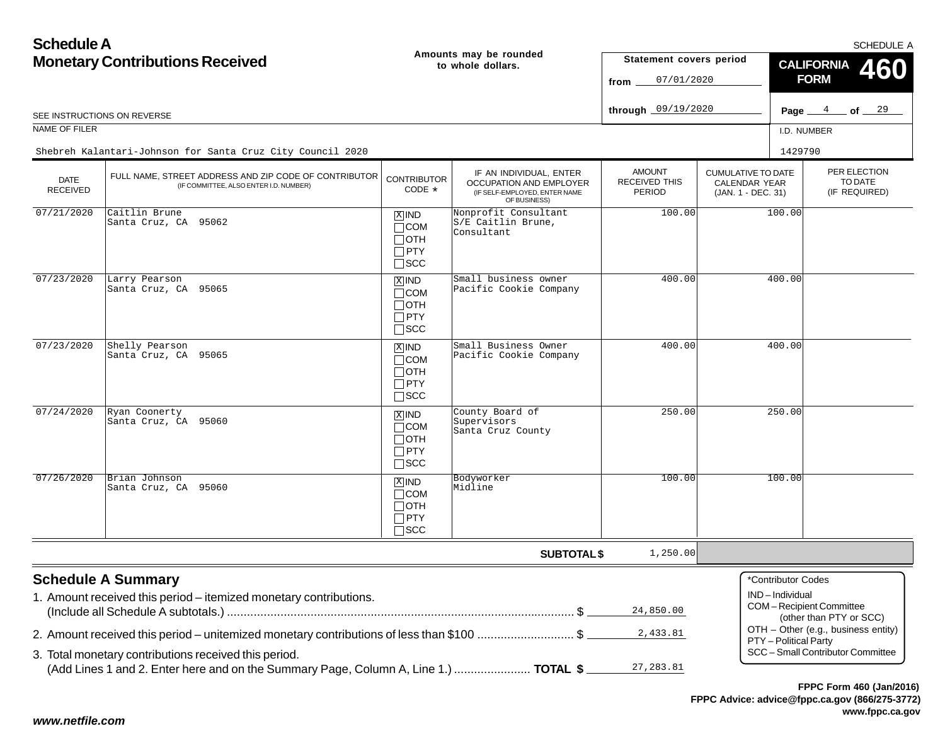**Schedule AMonetary Contributions Received**

SCHEDULE A

| <b>Monetary Contributions Received</b> |                                                                                                                                               |                                                                      | Amounts may be rounded<br>to whole dollars.                                                                | Statement covers period<br>07/01/2020<br>from |                                                                         | <b>CALIFORNIA</b><br>460<br><b>FORM</b>                         |                         |                         |
|----------------------------------------|-----------------------------------------------------------------------------------------------------------------------------------------------|----------------------------------------------------------------------|------------------------------------------------------------------------------------------------------------|-----------------------------------------------|-------------------------------------------------------------------------|-----------------------------------------------------------------|-------------------------|-------------------------|
|                                        | SEE INSTRUCTIONS ON REVERSE                                                                                                                   |                                                                      |                                                                                                            | through 09/19/2020                            |                                                                         |                                                                 | Page $4$ of $29$        |                         |
| NAME OF FILER                          |                                                                                                                                               |                                                                      |                                                                                                            |                                               |                                                                         | I.D. NUMBER                                                     |                         |                         |
|                                        | Shebreh Kalantari-Johnson for Santa Cruz City Council 2020                                                                                    |                                                                      |                                                                                                            |                                               |                                                                         | 1429790                                                         |                         |                         |
| <b>DATE</b><br><b>RECEIVED</b>         | FULL NAME, STREET ADDRESS AND ZIP CODE OF CONTRIBUTOR<br>(IF COMMITTEE, ALSO ENTER I.D. NUMBER)                                               | <b>CONTRIBUTOR</b><br>CODE *                                         | IF AN INDIVIDUAL, ENTER<br><b>OCCUPATION AND EMPLOYER</b><br>(IF SELF-EMPLOYED, ENTER NAME<br>OF BUSINESS) | <b>AMOUNT</b><br>RECEIVED THIS<br>PERIOD      | <b>CUMULATIVE TO DATE</b><br><b>CALENDAR YEAR</b><br>(JAN. 1 - DEC. 31) |                                                                 | (IF REQUIRED)           | PER ELECTION<br>TO DATE |
| 07/21/2020                             | Caitlin Brune<br>Santa Cruz, CA 95062                                                                                                         | $X$ IND<br>$\Box$ COM<br>$\sqcap$ oth<br>$\Box$ PTY<br>$\square$ SCC | Nonprofit Consultant<br>S/E Caitlin Brune,<br>Consultant                                                   | 100.00                                        |                                                                         | 100.00                                                          |                         |                         |
| 07/23/2020                             | Larry Pearson<br>Santa Cruz, CA 95065                                                                                                         | $X$ IND<br>$\Box$ COM<br>$\Box$ OTH<br>$\Box$ PTY<br>$\square$ SCC   | Small business owner<br>Pacific Cookie Company                                                             | 400.00                                        |                                                                         | 400.00                                                          |                         |                         |
| 07/23/2020                             | Shelly Pearson<br>Santa Cruz, CA 95065                                                                                                        | $X$ IND<br>$\sqcap$ COM<br>$\Box$ oth<br>$\Box$ PTY<br>$\square$ SCC | Small Business Owner<br>Pacific Cookie Company                                                             | 400.00                                        |                                                                         | 400.00                                                          |                         |                         |
| 07/24/2020                             | Ryan Coonerty<br>Santa Cruz, CA 95060                                                                                                         | $X$ IND<br>$\Box$ COM<br>$\Box$ oth<br>$\Box$ PTY<br>$\square$ SCC   | County Board of<br>Supervisors<br>Santa Cruz County                                                        | 250.00                                        |                                                                         | 250.00                                                          |                         |                         |
| 07/26/2020                             | Brian Johnson<br>Santa Cruz, CA 95060                                                                                                         | $X$ IND<br>$\Box$ COM<br>$\Box$ OTH<br>$\Box$ PTY<br>$\square$ SCC   | Bodyworker<br>Midline                                                                                      | 100.00                                        |                                                                         | 100.00                                                          |                         |                         |
|                                        |                                                                                                                                               |                                                                      | <b>SUBTOTAL \$</b>                                                                                         | 1,250.00                                      |                                                                         |                                                                 |                         |                         |
|                                        | <b>Schedule A Summary</b><br>1. Amount received this period – itemized monetary contributions.                                                |                                                                      |                                                                                                            | 24,850.00                                     |                                                                         | *Contributor Codes<br>IND-Individual<br>COM-Recipient Committee | (other than PTY or SCC) |                         |
|                                        | 2. Amount received this period – unitemized monetary contributions of less than \$100 \$                                                      |                                                                      |                                                                                                            | 2,433.81                                      |                                                                         | OTH - Other (e.g., business entity)<br>PTY - Political Party    |                         |                         |
|                                        | 3. Total monetary contributions received this period.<br>(Add Lines 1 and 2. Enter here and on the Summary Page, Column A, Line 1.)  TOTAL \$ |                                                                      |                                                                                                            | 27, 283.81                                    |                                                                         | SCC - Small Contributor Committee                               |                         |                         |

*www.netfile.com*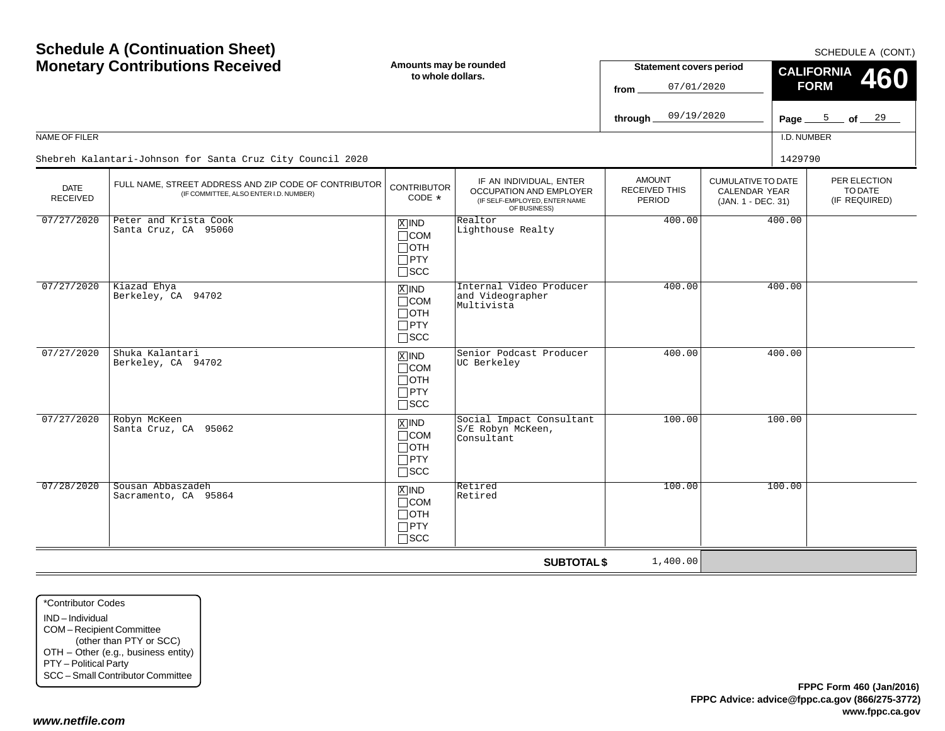| <b>Schedule A (Continuation Sheet)</b><br><b>Monetary Contributions Received</b> |                                                                                                 | Amounts may be rounded<br>to whole dollars.                        |                                                                                                            | <b>Statement covers period</b><br>07/01/2020<br>from<br>09/19/2020<br>through | SCHEDULE A (CONT.)<br><b>CALIFORNIA</b><br>460<br><b>FORM</b><br>Page $\frac{5}{2}$ of $\frac{29}{2}$ |                        |  |                                          |  |
|----------------------------------------------------------------------------------|-------------------------------------------------------------------------------------------------|--------------------------------------------------------------------|------------------------------------------------------------------------------------------------------------|-------------------------------------------------------------------------------|-------------------------------------------------------------------------------------------------------|------------------------|--|------------------------------------------|--|
| NAME OF FILER                                                                    | Shebreh Kalantari-Johnson for Santa Cruz City Council 2020                                      |                                                                    |                                                                                                            |                                                                               |                                                                                                       | I.D. NUMBER<br>1429790 |  |                                          |  |
| <b>DATE</b><br><b>RECEIVED</b>                                                   | FULL NAME, STREET ADDRESS AND ZIP CODE OF CONTRIBUTOR<br>(IF COMMITTEE, ALSO ENTER I.D. NUMBER) | <b>CONTRIBUTOR</b><br>CODE *                                       | IF AN INDIVIDUAL, ENTER<br><b>OCCUPATION AND EMPLOYER</b><br>(IF SELF-EMPLOYED, ENTER NAME<br>OF BUSINESS) | <b>AMOUNT</b><br><b>RECEIVED THIS</b><br><b>PERIOD</b>                        | <b>CUMULATIVE TO DATE</b><br><b>CALENDAR YEAR</b><br>(JAN. 1 - DEC. 31)                               |                        |  | PER ELECTION<br>TO DATE<br>(IF REQUIRED) |  |
| 07/27/2020                                                                       | Peter and Krista Cook<br>Santa Cruz, CA 95060                                                   | $X$ IND<br>$\Box$ COM<br>$\Box$ oth<br>$\Box$ PTY<br>$\square$ SCC | Realtor<br>Lighthouse Realty                                                                               | 400.00                                                                        |                                                                                                       | 400.00                 |  |                                          |  |
| 07/27/2020                                                                       | Kiazad Ehya<br>Berkeley, CA 94702                                                               | $X$ IND<br>$\Box$ COM<br>$\Box$ OTH<br>$\Box$ PTY<br>$\square$ scc | Internal Video Producer<br>and Videographer<br>Multivista                                                  | 400.00                                                                        |                                                                                                       | 400.00                 |  |                                          |  |
| 07/27/2020                                                                       | Shuka Kalantari<br>Berkeley, CA 94702                                                           | $X$ IND<br>$\Box$ COM<br>$\Box$ OTH<br>$\Box$ PTY<br>$\square$ SCC | Senior Podcast Producer<br>UC Berkeley                                                                     | 400.00                                                                        |                                                                                                       | 400.00                 |  |                                          |  |
| 07/27/2020                                                                       | Robyn McKeen<br>Santa Cruz, CA 95062                                                            | $X$ IND<br>$\Box$ COM<br>$\Box$ OTH<br>$\Box$ PTY<br>$\square$ scc | Social Impact Consultant<br>S/E Robyn McKeen,<br>Consultant                                                | 100.00                                                                        |                                                                                                       | 100.00                 |  |                                          |  |
| 07/28/2020                                                                       | Sousan Abbaszadeh<br>Sacramento, CA 95864                                                       | $X$ IND<br>$\Box$ COM<br>$\Box$ OTH<br>$\Box$ PTY<br>$\Box$ scc    | Retired<br>Retired                                                                                         | 100.00                                                                        |                                                                                                       | 100.00                 |  |                                          |  |
|                                                                                  |                                                                                                 |                                                                    | <b>SUBTOTAL \$</b>                                                                                         | 1,400.00                                                                      |                                                                                                       |                        |  |                                          |  |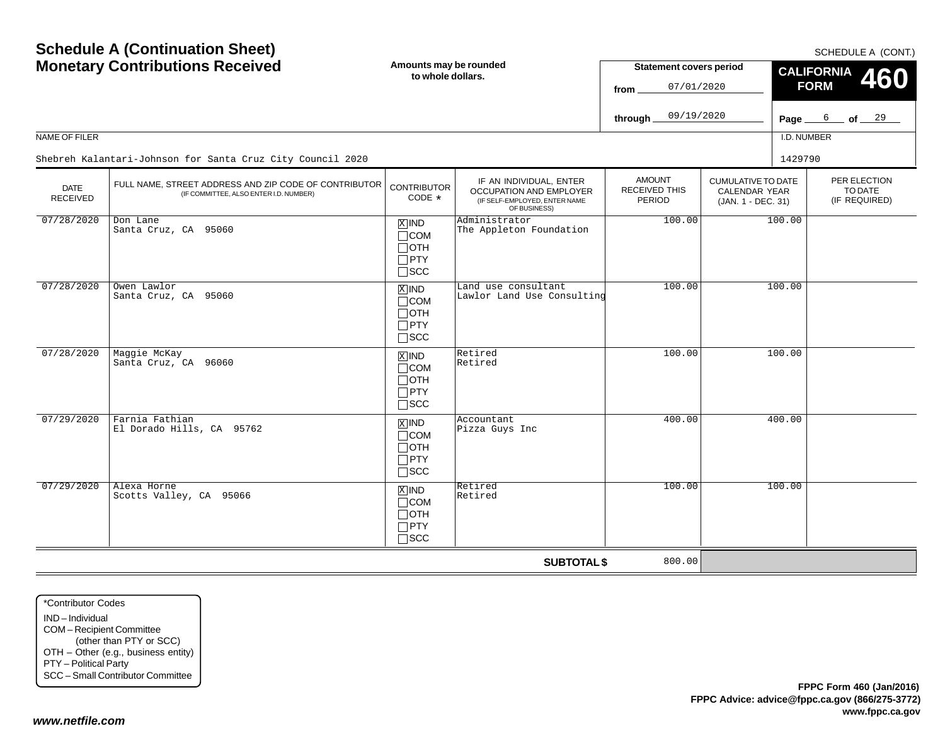SCHEDULE A (CONT.)

| <b>Monetary Contributions Received</b> |                                                                                                 | Amounts may be rounded<br>to whole dollars.                                       |                                                                                                            | <b>Statement covers period</b><br>07/01/2020<br>from |                                                                  | CALIFORNIA 460<br><b>FORM</b> |                                          |  |  |
|----------------------------------------|-------------------------------------------------------------------------------------------------|-----------------------------------------------------------------------------------|------------------------------------------------------------------------------------------------------------|------------------------------------------------------|------------------------------------------------------------------|-------------------------------|------------------------------------------|--|--|
|                                        |                                                                                                 |                                                                                   |                                                                                                            | 09/19/2020<br>through.                               |                                                                  | Page $6$                      | of <u>29</u>                             |  |  |
| NAME OF FILER                          |                                                                                                 |                                                                                   |                                                                                                            |                                                      |                                                                  | I.D. NUMBER                   |                                          |  |  |
|                                        | Shebreh Kalantari-Johnson for Santa Cruz City Council 2020                                      |                                                                                   |                                                                                                            |                                                      |                                                                  | 1429790                       |                                          |  |  |
| <b>DATE</b><br><b>RECEIVED</b>         | FULL NAME, STREET ADDRESS AND ZIP CODE OF CONTRIBUTOR<br>(IF COMMITTEE, ALSO ENTER I.D. NUMBER) | <b>CONTRIBUTOR</b><br>$CODE *$                                                    | IF AN INDIVIDUAL, ENTER<br><b>OCCUPATION AND EMPLOYER</b><br>(IF SELF-EMPLOYED, ENTER NAME<br>OF BUSINESS) | <b>AMOUNT</b><br>RECEIVED THIS<br><b>PERIOD</b>      | <b>CUMULATIVE TO DATE</b><br>CALENDAR YEAR<br>(JAN. 1 - DEC. 31) |                               | PER ELECTION<br>TO DATE<br>(IF REQUIRED) |  |  |
| 07/28/2020                             | Don Lane<br>Santa Cruz, CA 95060                                                                | $\overline{X}$ IND<br>$\Box$ COM<br>$\Box$ OTH<br>$\Box$ PTY<br>$\Box$ scc        | Administrator<br>The Appleton Foundation                                                                   | 100.00                                               |                                                                  | 100.00                        |                                          |  |  |
| 07/28/2020                             | Owen Lawlor<br>Santa Cruz, CA 95060                                                             | $\boxed{\text{X}}$ IND<br>$\Box$ COM<br>$\Box$ OTH<br>$\Box$ PTY<br>$\square$ SCC | Land use consultant<br>Lawlor Land Use Consulting                                                          | 100.00                                               |                                                                  | 100.00                        |                                          |  |  |
| 07/28/2020                             | Maggie McKay<br>Santa Cruz, CA 96060                                                            | $\overline{X}$ IND<br>$\Box$ COM<br>$\Box$ OTH<br>$\Box$ PTY<br>$\Box$ scc        | Retired<br>Retired                                                                                         | 100.00                                               |                                                                  | 100.00                        |                                          |  |  |
| 07/29/2020                             | Farnia Fathian<br>El Dorado Hills, CA 95762                                                     | $\overline{X}$ IND<br>$\Box$ COM<br>$\Box$ OTH<br>$\Box$ PTY<br>$\square$ SCC     | Accountant<br>Pizza Guys Inc                                                                               | 400.00                                               |                                                                  | 400.00                        |                                          |  |  |
| 07/29/2020                             | Alexa Horne<br>Scotts Valley, CA 95066                                                          | $X$ IND<br>$\Box$ COM<br>$\Box$ OTH<br>$\Box$ PTY<br>$\square$ SCC                | Retired<br>Retired                                                                                         | 100.00                                               |                                                                  | 100.00                        |                                          |  |  |
|                                        |                                                                                                 |                                                                                   | <b>SUBTOTAL \$</b>                                                                                         | 800.00                                               |                                                                  |                               |                                          |  |  |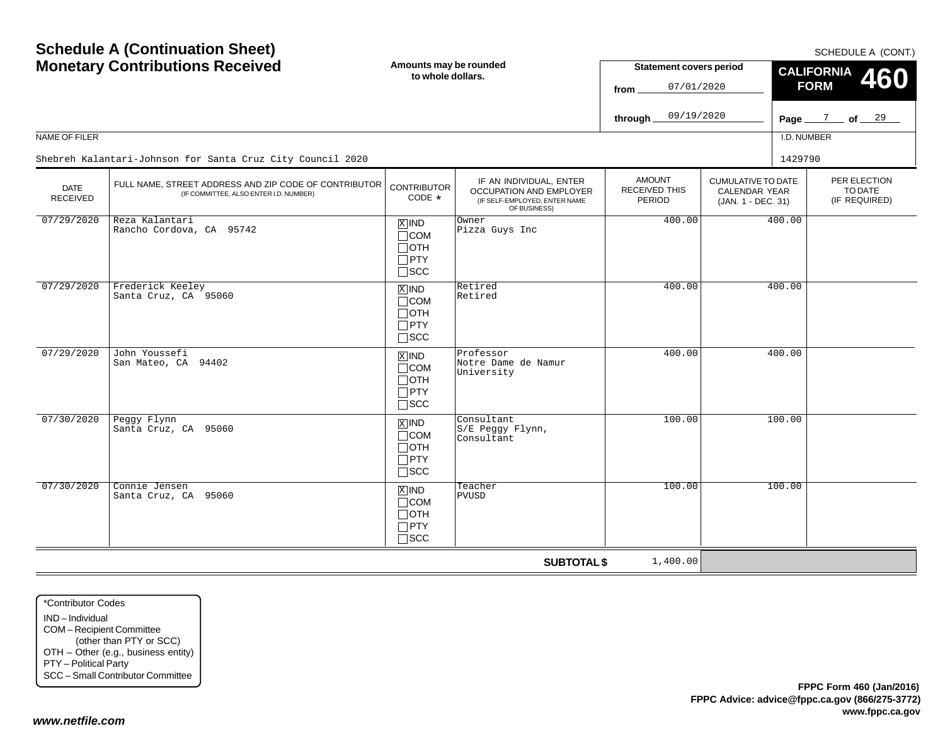SCHEDULE A (CONT.)

| <b>Monetary Contributions Received</b> |                                                                                                 | Amounts may be rounded<br>to whole dollars.                                     |                                                                                                     | <b>Statement covers period</b><br>07/01/2020<br>from |                                                                  | CALIFORNIA 460<br><b>FORM</b>            |  |  |  |
|----------------------------------------|-------------------------------------------------------------------------------------------------|---------------------------------------------------------------------------------|-----------------------------------------------------------------------------------------------------|------------------------------------------------------|------------------------------------------------------------------|------------------------------------------|--|--|--|
|                                        |                                                                                                 |                                                                                 |                                                                                                     | 09/19/2020<br>through.                               |                                                                  | Page $\frac{7}{2}$ of $\frac{29}{2}$     |  |  |  |
| NAME OF FILER                          |                                                                                                 |                                                                                 |                                                                                                     |                                                      |                                                                  | I.D. NUMBER                              |  |  |  |
|                                        | Shebreh Kalantari-Johnson for Santa Cruz City Council 2020                                      |                                                                                 |                                                                                                     |                                                      |                                                                  | 1429790                                  |  |  |  |
| <b>DATE</b><br><b>RECEIVED</b>         | FULL NAME, STREET ADDRESS AND ZIP CODE OF CONTRIBUTOR<br>(IF COMMITTEE, ALSO ENTER I.D. NUMBER) | <b>CONTRIBUTOR</b><br>CODE $*$                                                  | IF AN INDIVIDUAL, ENTER<br>OCCUPATION AND EMPLOYER<br>(IF SELF-EMPLOYED, ENTER NAME<br>OF BUSINESS) | <b>AMOUNT</b><br>RECEIVED THIS<br><b>PERIOD</b>      | <b>CUMULATIVE TO DATE</b><br>CALENDAR YEAR<br>(JAN. 1 - DEC. 31) | PER ELECTION<br>TO DATE<br>(IF REQUIRED) |  |  |  |
| 07/29/2020                             | Reza Kalantari<br>Rancho Cordova, CA 95742                                                      | $\overline{X}$ IND<br>$\sqcap$ COM<br>$\Box$ OTH<br>$\Box$ PTY<br>$\square$ scc | Owner<br>Pizza Guys Inc                                                                             | 400.00                                               |                                                                  | 400.00                                   |  |  |  |
| 07/29/2020                             | Frederick Keeley<br>Santa Cruz, CA 95060                                                        | $\overline{X}$ IND<br>$\sqcap$ COM<br>$\Box$ OTH<br>$\Box$ PTY<br>$\Box$ scc    | Retired<br>Retired                                                                                  | 400.00                                               |                                                                  | 400.00                                   |  |  |  |
| 07/29/2020                             | John Youssefi<br>San Mateo, CA 94402                                                            | $\overline{X}$ IND<br>$\Box$ COM<br>$\Box$ oth<br>$\Box$ PTY<br>$\square$ SCC   | Professor<br>Notre Dame de Namur<br>University                                                      | 400.00                                               |                                                                  | 400.00                                   |  |  |  |
| 07/30/2020                             | Peggy Flynn<br>Santa Cruz, CA 95060                                                             | $X$ IND<br>$\Box$ COM<br>$\sqcap$ oth<br>$\Box$ PTY<br>$\Box$ scc               | Consultant<br>S/E Peggy Flynn,<br>Consultant                                                        | 100.00                                               |                                                                  | 100.00                                   |  |  |  |
| 07/30/2020                             | Connie Jensen<br>Santa Cruz, CA 95060                                                           | $X$ IND<br>$\Box$ COM<br>$\Box$ oth<br>$\Box$ PTY<br>$\square$ SCC              | Teacher<br>PVUSD                                                                                    | 100.00                                               |                                                                  | 100.00                                   |  |  |  |
|                                        |                                                                                                 |                                                                                 | <b>SUBTOTAL \$</b>                                                                                  | 1,400.00                                             |                                                                  |                                          |  |  |  |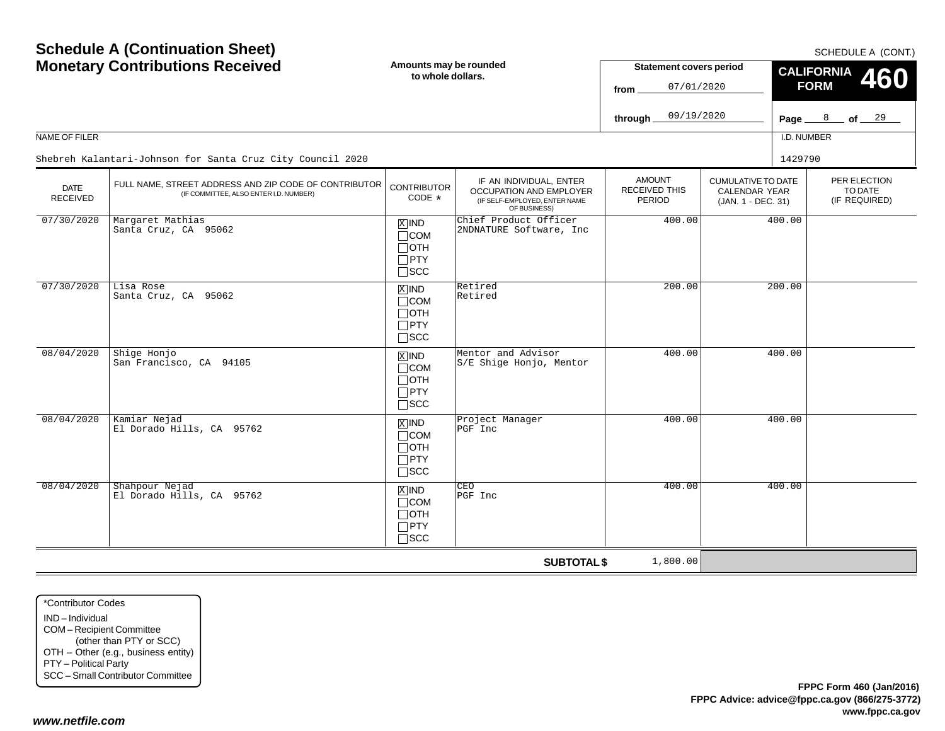SCHEDULE A (CONT.)

| <b>Monetary Contributions Received</b> |                                                                                                 | Amounts may be rounded<br>to whole dollars.                                       |                                                                                                     | <b>Statement covers period</b><br>07/01/2020<br>from |                                                                  | CALIFORNIA 460<br><b>FORM</b>                                  |  |  |
|----------------------------------------|-------------------------------------------------------------------------------------------------|-----------------------------------------------------------------------------------|-----------------------------------------------------------------------------------------------------|------------------------------------------------------|------------------------------------------------------------------|----------------------------------------------------------------|--|--|
|                                        |                                                                                                 |                                                                                   |                                                                                                     | 09/19/2020<br>through.                               |                                                                  | $\frac{8}{\sqrt{5}}$ of $\frac{29}{\sqrt{5}}$<br>Page $\equiv$ |  |  |
| NAME OF FILER                          |                                                                                                 |                                                                                   |                                                                                                     |                                                      |                                                                  | I.D. NUMBER                                                    |  |  |
|                                        | Shebreh Kalantari-Johnson for Santa Cruz City Council 2020                                      |                                                                                   |                                                                                                     |                                                      |                                                                  | 1429790                                                        |  |  |
| <b>DATE</b><br><b>RECEIVED</b>         | FULL NAME, STREET ADDRESS AND ZIP CODE OF CONTRIBUTOR<br>(IF COMMITTEE, ALSO ENTER I.D. NUMBER) | <b>CONTRIBUTOR</b><br>CODE *                                                      | IF AN INDIVIDUAL, ENTER<br>OCCUPATION AND EMPLOYER<br>(IF SELF-EMPLOYED, ENTER NAME<br>OF BUSINESS) | <b>AMOUNT</b><br>RECEIVED THIS<br><b>PERIOD</b>      | <b>CUMULATIVE TO DATE</b><br>CALENDAR YEAR<br>(JAN. 1 - DEC. 31) | PER ELECTION<br>TO DATE<br>(IF REQUIRED)                       |  |  |
| 07/30/2020                             | Margaret Mathias<br>Santa Cruz, CA 95062                                                        | $X$ IND<br>$\Box$ COM<br>$\Box$ OTH<br>$\Box$ PTY<br>$\square$ SCC                | Chief Product Officer<br>2NDNATURE Software, Inc                                                    | 400.00                                               |                                                                  | 400.00                                                         |  |  |
| 07/30/2020                             | Lisa Rose<br>Santa Cruz, CA 95062                                                               | $X$ IND<br>$\Box$ COM<br>$\Box$ OTH<br>$\Box$ PTY<br>$\Box$ SCC                   | Retired<br>Retired                                                                                  | 200.00                                               |                                                                  | 200.00                                                         |  |  |
| 08/04/2020                             | Shige Honjo<br>San Francisco, CA 94105                                                          | $X$ IND<br>$\Box$ COM<br>$\Box$ OTH<br>$\Box$ PTY<br>$\square$ SCC                | Mentor and Advisor<br>S/E Shige Honjo, Mentor                                                       | 400.00                                               |                                                                  | 400.00                                                         |  |  |
| 08/04/2020                             | Kamiar Nejad<br>El Dorado Hills, CA 95762                                                       | $\boxed{\text{X}}$ IND<br>$\Box$ COM<br>$\Box$ OTH<br>$\Box$ PTY<br>$\square$ scc | Project Manager<br>PGF Inc                                                                          | 400.00                                               |                                                                  | 400.00                                                         |  |  |
| 08/04/2020                             | Shahpour Nejad<br>El Dorado Hills, CA 95762                                                     | $X$ IND<br>$\Box$ COM<br>$\Box$ OTH<br>$\Box$ PTY<br>$\square$ SCC                | CEO<br>PGF Inc                                                                                      | 400.00                                               |                                                                  | 400.00                                                         |  |  |
|                                        |                                                                                                 |                                                                                   | <b>SUBTOTAL \$</b>                                                                                  | 1,800.00                                             |                                                                  |                                                                |  |  |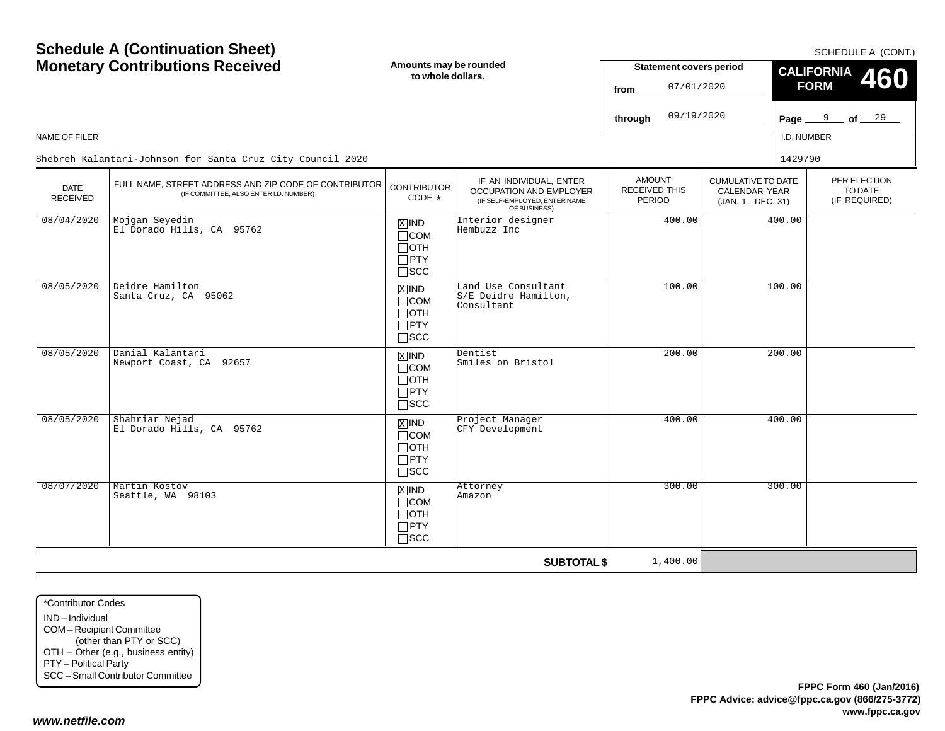| <b>Monetary Contributions Received</b> |                                                                                                 | Amounts may be rounded<br>to whole dollars.                                   |                                                                                                     | <b>Statement covers period</b><br>07/01/2020<br>from   |                                                                  | CALIFORNIA 460<br><b>FORM</b>            |  |  |
|----------------------------------------|-------------------------------------------------------------------------------------------------|-------------------------------------------------------------------------------|-----------------------------------------------------------------------------------------------------|--------------------------------------------------------|------------------------------------------------------------------|------------------------------------------|--|--|
|                                        |                                                                                                 |                                                                               |                                                                                                     | 09/19/2020<br>through                                  |                                                                  | Page $9$ of $29$                         |  |  |
| NAME OF FILER                          |                                                                                                 |                                                                               |                                                                                                     |                                                        |                                                                  | I.D. NUMBER                              |  |  |
|                                        | Shebreh Kalantari-Johnson for Santa Cruz City Council 2020                                      |                                                                               |                                                                                                     |                                                        |                                                                  | 1429790                                  |  |  |
| <b>DATE</b><br><b>RECEIVED</b>         | FULL NAME, STREET ADDRESS AND ZIP CODE OF CONTRIBUTOR<br>(IF COMMITTEE, ALSO ENTER I.D. NUMBER) | <b>CONTRIBUTOR</b><br>$CODE *$                                                | IF AN INDIVIDUAL, ENTER<br>OCCUPATION AND EMPLOYER<br>(IF SELF-EMPLOYED, ENTER NAME<br>OF BUSINESS) | <b>AMOUNT</b><br><b>RECEIVED THIS</b><br><b>PERIOD</b> | <b>CUMULATIVE TO DATE</b><br>CALENDAR YEAR<br>(JAN. 1 - DEC. 31) | PER ELECTION<br>TO DATE<br>(IF REQUIRED) |  |  |
| 08/04/2020                             | Mojgan Seyedin<br>El Dorado Hills, CA 95762                                                     | $X$ IND<br>$\Box$ COM<br>$\Box$ OTH<br>$\Box$ PTY<br>$\Box$<br><br>SCC        | Interior designer<br>Hembuzz Inc                                                                    | 400.00                                                 |                                                                  | 400.00                                   |  |  |
| 08/05/2020                             | Deidre Hamilton<br>Santa Cruz, CA 95062                                                         | $X$ IND<br>$\Box$ COM<br>$\Box$ OTH<br>$\Box$ PTY<br>$\square$ scc            | Land Use Consultant<br>S/E Deidre Hamilton,<br>Consultant                                           | 100.00                                                 |                                                                  | 100.00                                   |  |  |
| 08/05/2020                             | Danial Kalantari<br>Newport Coast, CA 92657                                                     | $X$ IND<br>$\Box$ COM<br>$\Box$ OTH<br>$\Box$ PTY<br>$\Box$ scc               | Dentist<br>Smiles on Bristol                                                                        | 200.00                                                 |                                                                  | 200.00                                   |  |  |
| 08/05/2020                             | Shahriar Nejad<br>El Dorado Hills, CA 95762                                                     | $\overline{X}$ IND<br>$\Box$ COM<br>$\Box$ OTH<br>$\Box$ PTY<br>$\square$ scc | Project Manager<br>CFY Development                                                                  | 400.00                                                 |                                                                  | 400.00                                   |  |  |
| 08/07/2020                             | Martin Kostov<br>Seattle, WA 98103                                                              | $X$ IND<br>$\Box$ COM<br>$\Box$ OTH<br>$\Box$ PTY<br>$\square$ scc            | Attorney<br>Amazon                                                                                  | 300.00                                                 |                                                                  | 300.00                                   |  |  |
|                                        |                                                                                                 |                                                                               | <b>SUBTOTAL \$</b>                                                                                  | 1,400.00                                               |                                                                  |                                          |  |  |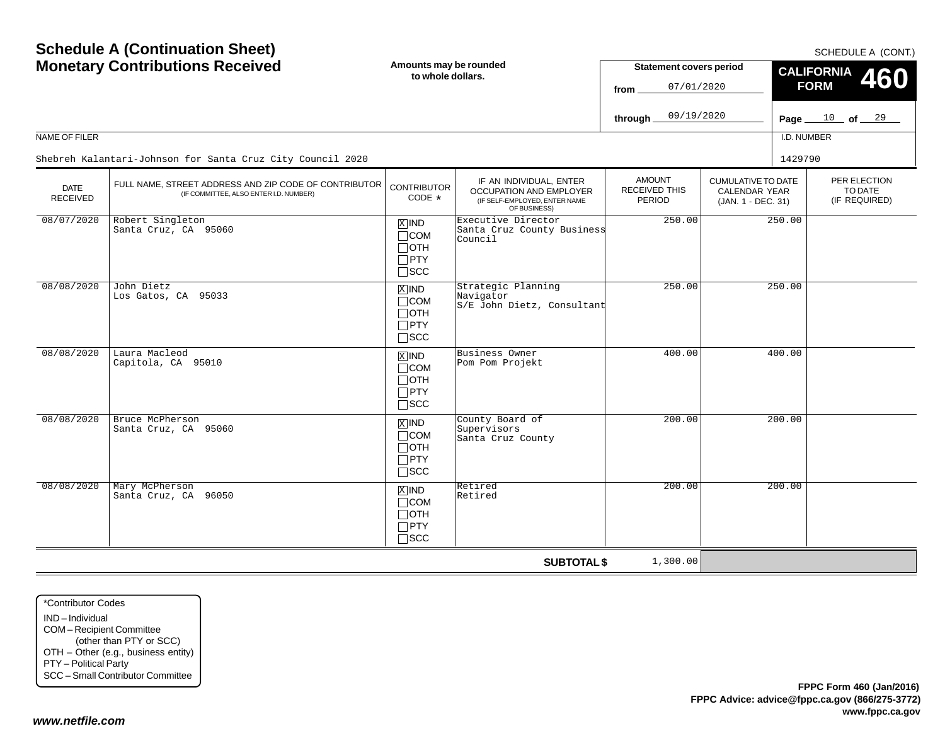| Schedule A (Continuation Sheet)<br><b>Monetary Contributions Received</b><br>NAME OF FILER |                                                                                                 |                                                                    | Amounts may be rounded<br>to whole dollars.                                                                |                                          | <b>Statement covers period</b><br>07/01/2020<br>09/19/2020       | SCHEDULE A (CONT.)<br><b>CALIFORNIA</b><br><b>460</b><br><b>FORM</b><br>Page $10$ of $29$<br>I.D. NUMBER |  |
|--------------------------------------------------------------------------------------------|-------------------------------------------------------------------------------------------------|--------------------------------------------------------------------|------------------------------------------------------------------------------------------------------------|------------------------------------------|------------------------------------------------------------------|----------------------------------------------------------------------------------------------------------|--|
|                                                                                            | Shebreh Kalantari-Johnson for Santa Cruz City Council 2020                                      |                                                                    |                                                                                                            |                                          |                                                                  | 1429790                                                                                                  |  |
| <b>DATE</b><br><b>RECEIVED</b>                                                             | FULL NAME, STREET ADDRESS AND ZIP CODE OF CONTRIBUTOR<br>(IF COMMITTEE, ALSO ENTER I.D. NUMBER) | <b>CONTRIBUTOR</b><br>CODE *                                       | IF AN INDIVIDUAL, ENTER<br><b>OCCUPATION AND EMPLOYER</b><br>(IF SELF-EMPLOYED, ENTER NAME<br>OF BUSINESS) | <b>AMOUNT</b><br>RECEIVED THIS<br>PERIOD | <b>CUMULATIVE TO DATE</b><br>CALENDAR YEAR<br>(JAN. 1 - DEC. 31) | PER ELECTION<br>TO DATE<br>(IF REQUIRED)                                                                 |  |
| 08/07/2020                                                                                 | Robert Singleton<br>Santa Cruz, CA 95060                                                        | $X$ IND<br>$\Box$ COM<br>$\Box$ OTH<br>$\Box$ PTY<br>$\Box$ scc    | Executive Director<br>Santa Cruz County Business<br>Council                                                | 250.00                                   |                                                                  | 250.00                                                                                                   |  |
| 08/08/2020                                                                                 | John Dietz<br>Los Gatos, CA 95033                                                               | $X$ IND<br>$\Box$ COM<br>$\Box$ OTH<br>$\Box$ PTY<br>$\square$ SCC | Strategic Planning<br>Navigator<br>S/E John Dietz, Consultant                                              | 250.00                                   |                                                                  | 250.00                                                                                                   |  |
| 08/08/2020                                                                                 | Laura Macleod<br>Capitola, CA 95010                                                             | $X$ IND<br>$\Box$ COM<br>$\Box$ OTH<br>$\Box$ PTY<br>$\square$ SCC | Business Owner<br>Pom Pom Projekt                                                                          | 400.00                                   |                                                                  | 400.00                                                                                                   |  |
| 08/08/2020                                                                                 | Bruce McPherson<br>Santa Cruz, CA 95060                                                         | $X$ IND<br>$\Box$ COM<br>$\Box$ OTH<br>$\Box$ PTY<br>$\Box$ SCC    | County Board of<br>Supervisors<br>Santa Cruz County                                                        | 200.00                                   |                                                                  | 200.00                                                                                                   |  |
| 08/08/2020                                                                                 | Mary McPherson<br>Santa Cruz, CA 96050                                                          | $X$ IND<br>$\Box$ COM<br>$\Box$ OTH<br>$\Box$ PTY<br>$\Box$ scc    | Retired<br>Retired                                                                                         | 200.00                                   |                                                                  | 200.00                                                                                                   |  |
|                                                                                            |                                                                                                 |                                                                    | <b>SUBTOTAL \$</b>                                                                                         | 1,300.00                                 |                                                                  |                                                                                                          |  |

\*Contributor CodesIND – IndividualCOM – Recipient Committee (other than PTY or SCC) OTH – Other (e.g., business entity) PTY – Political Party SCC – Small Contributor Committee

**Schedule A (Continuation Sheet)**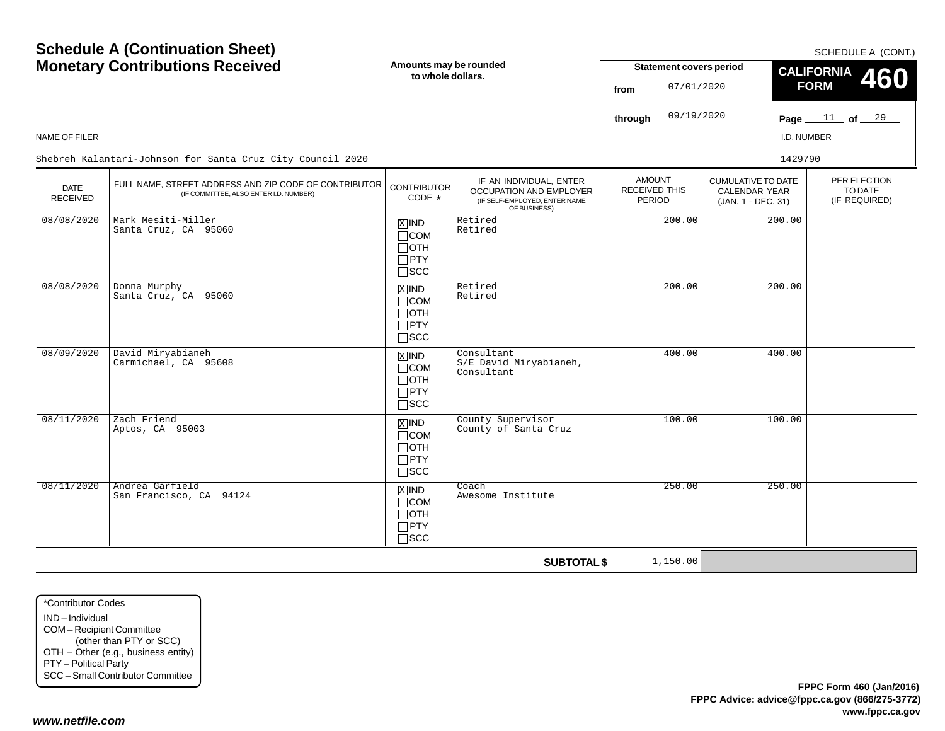SCHEDULE A (CONT.)

|                         | <b>Monetary Contributions Received</b>                                                          | Amounts may be rounded<br>to whole dollars.                                       |                                                                                                     | <b>Statement covers period</b><br>07/01/2020<br>from |                                                                  | CALIFORNIA 460<br><b>FORM</b>            |  |  |
|-------------------------|-------------------------------------------------------------------------------------------------|-----------------------------------------------------------------------------------|-----------------------------------------------------------------------------------------------------|------------------------------------------------------|------------------------------------------------------------------|------------------------------------------|--|--|
|                         |                                                                                                 |                                                                                   |                                                                                                     | 09/19/2020<br>through.                               |                                                                  | Page $11$ of $29$                        |  |  |
| NAME OF FILER           |                                                                                                 |                                                                                   |                                                                                                     |                                                      |                                                                  | I.D. NUMBER                              |  |  |
|                         | Shebreh Kalantari-Johnson for Santa Cruz City Council 2020                                      |                                                                                   |                                                                                                     |                                                      |                                                                  | 1429790                                  |  |  |
| <b>DATE</b><br>RECEIVED | FULL NAME, STREET ADDRESS AND ZIP CODE OF CONTRIBUTOR<br>(IF COMMITTEE, ALSO ENTER I.D. NUMBER) | <b>CONTRIBUTOR</b><br>$CODE *$                                                    | IF AN INDIVIDUAL, ENTER<br>OCCUPATION AND EMPLOYER<br>(IF SELF-EMPLOYED, ENTER NAME<br>OF BUSINESS) | <b>AMOUNT</b><br><b>RECEIVED THIS</b><br>PERIOD      | <b>CUMULATIVE TO DATE</b><br>CALENDAR YEAR<br>(JAN. 1 - DEC. 31) | PER ELECTION<br>TO DATE<br>(IF REQUIRED) |  |  |
| 08/08/2020              | Mark Mesiti-Miller<br>Santa Cruz, CA 95060                                                      | $X$ IND<br>$\Box$ COM<br>$\Box$ OTH<br>$\Box$ PTY<br>$\square$ SCC                | Retired<br>Retired                                                                                  | 200.00                                               |                                                                  | 200.00                                   |  |  |
| 08/08/2020              | Donna Murphy<br>Santa Cruz, CA 95060                                                            | $X$ IND<br>$\Box$ COM<br>$\Box$ OTH<br>$\Box$ PTY<br>$\square$ SCC                | Retired<br>Retired                                                                                  | 200.00                                               |                                                                  | 200.00                                   |  |  |
| 08/09/2020              | David Miryabianeh<br>Carmichael, CA 95608                                                       | $X$ IND<br>$\Box$ COM<br>$\Box$ OTH<br>$\Box$ PTY<br>$\Box$ scc                   | Consultant<br>S/E David Miryabianeh,<br>Consultant                                                  | 400.00                                               |                                                                  | 400.00                                   |  |  |
| 08/11/2020              | Zach Friend<br>Aptos, CA 95003                                                                  | $\boxed{\text{X}}$ IND<br>$\Box$ COM<br>$\Box$ OTH<br>$\Box$ PTY<br>$\square$ scc | County Supervisor<br>County of Santa Cruz                                                           | 100.00                                               |                                                                  | 100.00                                   |  |  |
| 08/11/2020              | Andrea Garfield<br>San Francisco, CA 94124                                                      | $X$ IND<br>$\Box$ COM<br>$\Box$ OTH<br>$\Box$ PTY<br>$\square$ SCC                | Coach<br>Awesome Institute                                                                          | 250.00                                               |                                                                  | 250.00                                   |  |  |
|                         |                                                                                                 |                                                                                   | <b>SUBTOTAL \$</b>                                                                                  | 1,150.00                                             |                                                                  |                                          |  |  |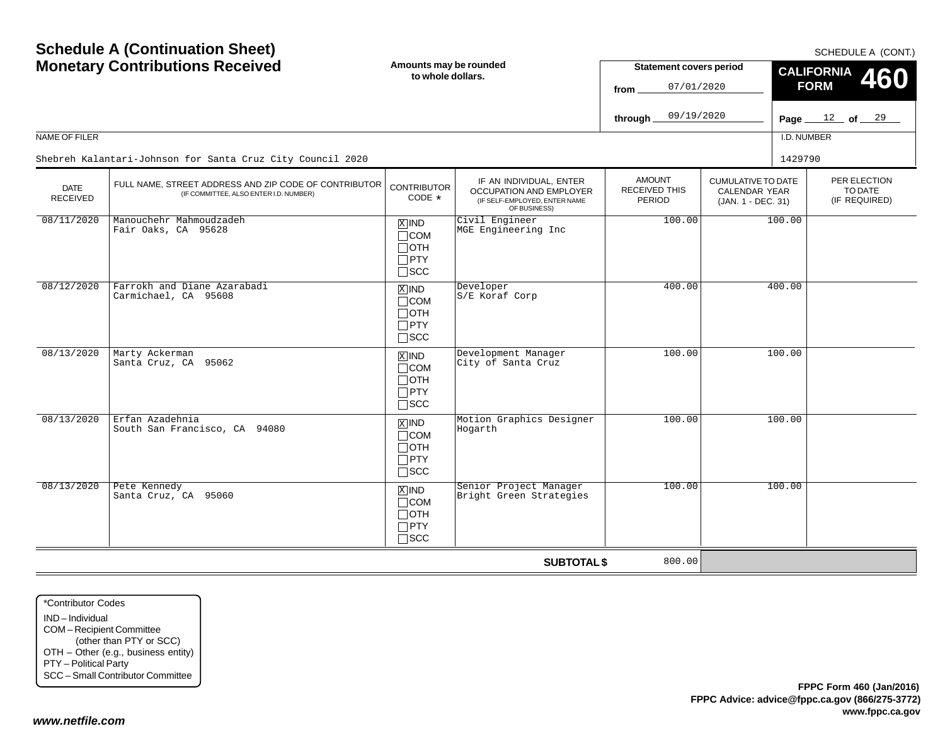**Schedule A (Continuation Sheet)**

SCHEDULE A (CONT.)

| <b>Monetary Contributions Received</b> |                                                                                                 | Amounts may be rounded<br>to whole dollars.                        |                                                                                                            | <b>Statement covers period</b><br>07/01/2020<br>from |                                                                         | CALIFORNIA 460<br><b>FORM</b> |                                          |  |
|----------------------------------------|-------------------------------------------------------------------------------------------------|--------------------------------------------------------------------|------------------------------------------------------------------------------------------------------------|------------------------------------------------------|-------------------------------------------------------------------------|-------------------------------|------------------------------------------|--|
|                                        |                                                                                                 |                                                                    |                                                                                                            | 09/19/2020<br>through                                |                                                                         |                               | Page $12$ of $29$                        |  |
| NAME OF FILER                          |                                                                                                 |                                                                    |                                                                                                            |                                                      |                                                                         | I.D. NUMBER                   |                                          |  |
|                                        | Shebreh Kalantari-Johnson for Santa Cruz City Council 2020                                      |                                                                    |                                                                                                            |                                                      |                                                                         | 1429790                       |                                          |  |
| <b>DATE</b><br><b>RECEIVED</b>         | FULL NAME, STREET ADDRESS AND ZIP CODE OF CONTRIBUTOR<br>(IF COMMITTEE, ALSO ENTER I.D. NUMBER) | <b>CONTRIBUTOR</b><br>CODE *                                       | IF AN INDIVIDUAL, ENTER<br><b>OCCUPATION AND EMPLOYER</b><br>(IF SELF-EMPLOYED, ENTER NAME<br>OF BUSINESS) | <b>AMOUNT</b><br><b>RECEIVED THIS</b><br>PERIOD      | <b>CUMULATIVE TO DATE</b><br><b>CALENDAR YEAR</b><br>(JAN. 1 - DEC. 31) |                               | PER ELECTION<br>TO DATE<br>(IF REQUIRED) |  |
| 08/11/2020                             | Manouchehr Mahmoudzadeh<br>Fair Oaks, CA 95628                                                  | $X$ IND<br>$\Box$ COM<br>$\Box$ oth<br>$\Box$ PTY<br>$\square$ SCC | Civil Engineer<br>MGE Engineering Inc                                                                      | 100.00                                               |                                                                         | 100.00                        |                                          |  |
| 08/12/2020                             | Farrokh and Diane Azarabadi<br>Carmichael, CA 95608                                             | $X$ IND<br>$\Box$ COM<br>$\Box$ oth<br>$\Box$ PTY<br>$\Box$ SCC    | Developer<br>S/E Koraf Corp                                                                                | 400.00                                               |                                                                         | 400.00                        |                                          |  |
| 08/13/2020                             | Marty Ackerman<br>Santa Cruz, CA 95062                                                          | $X$ IND<br>$\Box$ COM<br>$\Box$ oth<br>$\Box$ PTY<br>$\Box$ scc    | Development Manager<br>City of Santa Cruz                                                                  | 100.00                                               |                                                                         | 100.00                        |                                          |  |
| 08/13/2020                             | Erfan Azadehnia<br>South San Francisco, CA 94080                                                | $X$ IND<br>$\Box$ COM<br>$\Box$ oth<br>$\Box$ PTY<br>$\Box$ scc    | Motion Graphics Designer<br>Hogarth                                                                        | 100.00                                               |                                                                         | 100.00                        |                                          |  |
| 08/13/2020                             | Pete Kennedy<br>Santa Cruz, CA 95060                                                            | $X$ IND<br>$\Box$ COM<br>$\Box$ OTH<br>$\Box$ PTY<br>$\square$ scc | Senior Project Manager<br>Bright Green Strategies                                                          | 100.00                                               |                                                                         | 100.00                        |                                          |  |
|                                        |                                                                                                 |                                                                    | <b>SUBTOTAL \$</b>                                                                                         | 800.00                                               |                                                                         |                               |                                          |  |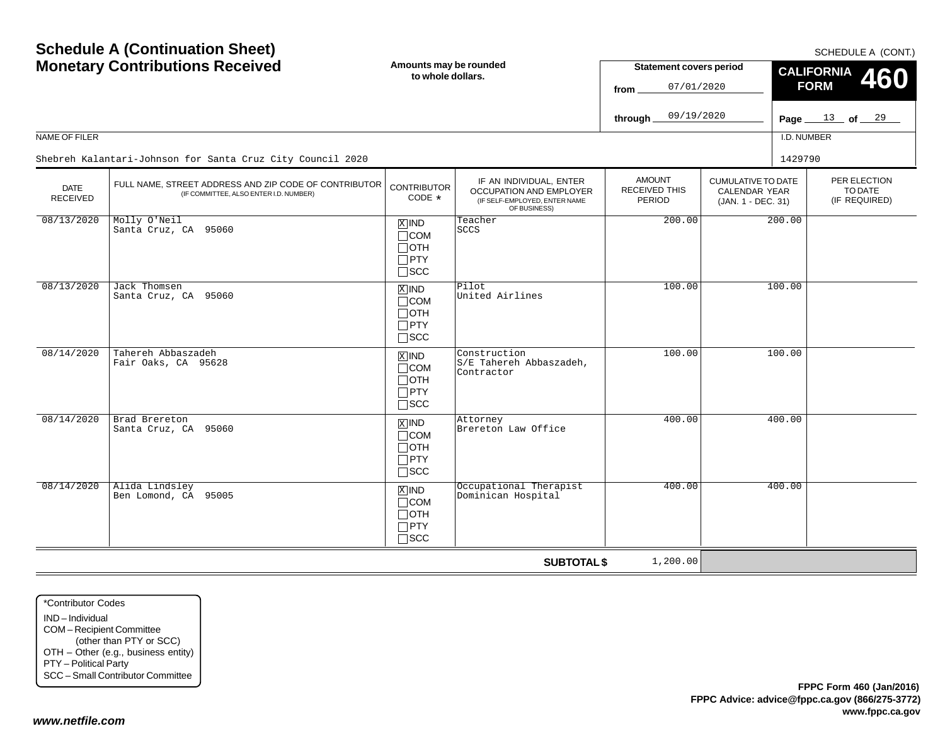SCHEDULE A (CONT.)

| <b>Monetary Contributions Received</b> |                                                                                                 | Amounts may be rounded<br>to whole dollars.                                       |                                                                                                     | <b>Statement covers period</b><br>07/01/2020<br>from. |                                                                  | CALIFORNIA 460<br><b>FORM</b> |                                          |  |
|----------------------------------------|-------------------------------------------------------------------------------------------------|-----------------------------------------------------------------------------------|-----------------------------------------------------------------------------------------------------|-------------------------------------------------------|------------------------------------------------------------------|-------------------------------|------------------------------------------|--|
|                                        |                                                                                                 |                                                                                   |                                                                                                     | 09/19/2020<br>through.                                |                                                                  | Page $\equiv$                 | $\frac{13}{ }$ of $\frac{29}{ }$         |  |
| NAME OF FILER                          |                                                                                                 |                                                                                   |                                                                                                     |                                                       |                                                                  | I.D. NUMBER                   |                                          |  |
|                                        | Shebreh Kalantari-Johnson for Santa Cruz City Council 2020                                      |                                                                                   |                                                                                                     |                                                       |                                                                  | 1429790                       |                                          |  |
| <b>DATE</b><br><b>RECEIVED</b>         | FULL NAME, STREET ADDRESS AND ZIP CODE OF CONTRIBUTOR<br>(IF COMMITTEE, ALSO ENTER I.D. NUMBER) | <b>CONTRIBUTOR</b><br>CODE *                                                      | IF AN INDIVIDUAL, ENTER<br>OCCUPATION AND EMPLOYER<br>(IF SELF-EMPLOYED, ENTER NAME<br>OF BUSINESS) | <b>AMOUNT</b><br>RECEIVED THIS<br>PERIOD              | <b>CUMULATIVE TO DATE</b><br>CALENDAR YEAR<br>(JAN. 1 - DEC. 31) |                               | PER ELECTION<br>TO DATE<br>(IF REQUIRED) |  |
| 08/13/2020                             | Molly O'Neil<br>Santa Cruz, CA 95060                                                            | $\boxed{\text{X}}$ IND<br>$\Box$ COM<br>$\Box$ OTH<br>$\Box$ PTY<br>$\square$ SCC | Teacher<br><b>SCCS</b>                                                                              | 200.00                                                |                                                                  | 200.00                        |                                          |  |
| 08/13/2020                             | Jack Thomsen<br>Santa Cruz, CA 95060                                                            | $X$ IND<br>$\Box$ COM<br>$\Box$ OTH<br>$\Box$ PTY<br>$\square$ scc                | Pilot<br>United Airlines                                                                            | 100.00                                                |                                                                  | 100.00                        |                                          |  |
| 08/14/2020                             | Tahereh Abbaszadeh<br>Fair Oaks, CA 95628                                                       | $\overline{X}$ IND<br>$\Box$ COM<br>$\Box$ OTH<br>$\Box$ PTY<br>$\Box$ scc        | Construction<br>S/E Tahereh Abbaszadeh,<br>Contractor                                               | 100.00                                                |                                                                  | 100.00                        |                                          |  |
| 08/14/2020                             | Brad Brereton<br>Santa Cruz, CA 95060                                                           | $\overline{X}$ IND<br>$\Box$ COM<br>$\Box$ OTH<br>$\Box$ PTY<br>$\square$ scc     | Attorney<br>Brereton Law Office                                                                     | 400.00                                                |                                                                  | 400.00                        |                                          |  |
| 08/14/2020                             | Alida Lindsley<br>Ben Lomond, CA 95005                                                          | $X$ IND<br>$\Box$ COM<br>$\Box$ OTH<br>$\Box$ PTY<br>$\square$ SCC                | Occupational Therapist<br>Dominican Hospital                                                        | 400.00                                                |                                                                  | 400.00                        |                                          |  |
|                                        |                                                                                                 |                                                                                   | <b>SUBTOTAL \$</b>                                                                                  | 1,200.00                                              |                                                                  |                               |                                          |  |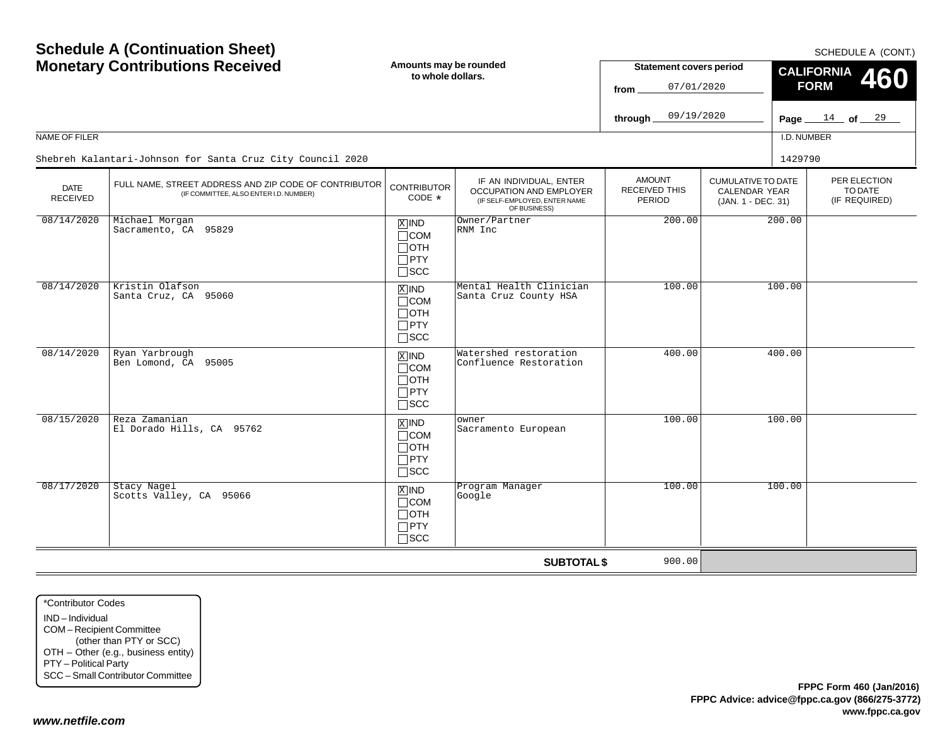SCHEDULE A (CONT.)

| <b>Monetary Contributions Received</b> |                                                                                                 | Amounts may be rounded<br>to whole dollars.                                |                                                                                                     | <b>Statement covers period</b><br>07/01/2020<br>from. |                                                                  | CALIFORNIA 460<br><b>FORM</b> |                                          |  |
|----------------------------------------|-------------------------------------------------------------------------------------------------|----------------------------------------------------------------------------|-----------------------------------------------------------------------------------------------------|-------------------------------------------------------|------------------------------------------------------------------|-------------------------------|------------------------------------------|--|
|                                        |                                                                                                 |                                                                            |                                                                                                     | 09/19/2020<br>through                                 |                                                                  |                               | Page $14$ of $29$                        |  |
| NAME OF FILER                          |                                                                                                 |                                                                            |                                                                                                     |                                                       |                                                                  | I.D. NUMBER                   |                                          |  |
|                                        | Shebreh Kalantari-Johnson for Santa Cruz City Council 2020                                      |                                                                            |                                                                                                     |                                                       |                                                                  | 1429790                       |                                          |  |
| <b>DATE</b><br><b>RECEIVED</b>         | FULL NAME, STREET ADDRESS AND ZIP CODE OF CONTRIBUTOR<br>(IF COMMITTEE, ALSO ENTER I.D. NUMBER) | <b>CONTRIBUTOR</b><br>CODE *                                               | IF AN INDIVIDUAL, ENTER<br>OCCUPATION AND EMPLOYER<br>(IF SELF-EMPLOYED, ENTER NAME<br>OF BUSINESS) | <b>AMOUNT</b><br><b>RECEIVED THIS</b><br>PERIOD       | <b>CUMULATIVE TO DATE</b><br>CALENDAR YEAR<br>(JAN. 1 - DEC. 31) |                               | PER ELECTION<br>TO DATE<br>(IF REQUIRED) |  |
| 08/14/2020                             | Michael Morgan<br>Sacramento, CA 95829                                                          | $X$ IND<br>$\Box$ COM<br>$\Box$ OTH<br>$\Box$ PTY<br>$\square$ SCC         | Owner/Partner<br>RNM Inc                                                                            | 200.00                                                |                                                                  | 200.00                        |                                          |  |
| 08/14/2020                             | Kristin Olafson<br>Santa Cruz, CA 95060                                                         | $X$ IND<br>$\Box$ COM<br>$\Box$ OTH<br>$\Box$ PTY<br>$\square$ scc         | Mental Health Clinician<br>Santa Cruz County HSA                                                    | 100.00                                                |                                                                  | 100.00                        |                                          |  |
| 08/14/2020                             | Ryan Yarbrough<br>Ben Lomond, CA 95005                                                          | $\overline{X}$ IND<br>$\Box$ COM<br>$\Box$ OTH<br>$\Box$ PTY<br>$\Box$ scc | Watershed restoration<br>Confluence Restoration                                                     | 400.00                                                |                                                                  | 400.00                        |                                          |  |
| 08/15/2020                             | Reza Zamanian<br>El Dorado Hills, CA 95762                                                      | $\sqrt{X}$ IND<br>$\Box$ COM<br>$\Box$ OTH<br>$\Box$ PTY<br>$\square$ scc  | owner<br>Sacramento European                                                                        | 100.00                                                |                                                                  | 100.00                        |                                          |  |
| 08/17/2020                             | Stacy Nagel<br>Scotts Valley, CA 95066                                                          | $X$ IND<br>$\Box$ COM<br>$\Box$ OTH<br>$\Box$ PTY<br>$\square$ SCC         | Program Manager<br>Google                                                                           | 100.00                                                |                                                                  | 100.00                        |                                          |  |
|                                        |                                                                                                 |                                                                            | <b>SUBTOTAL \$</b>                                                                                  | 900.00                                                |                                                                  |                               |                                          |  |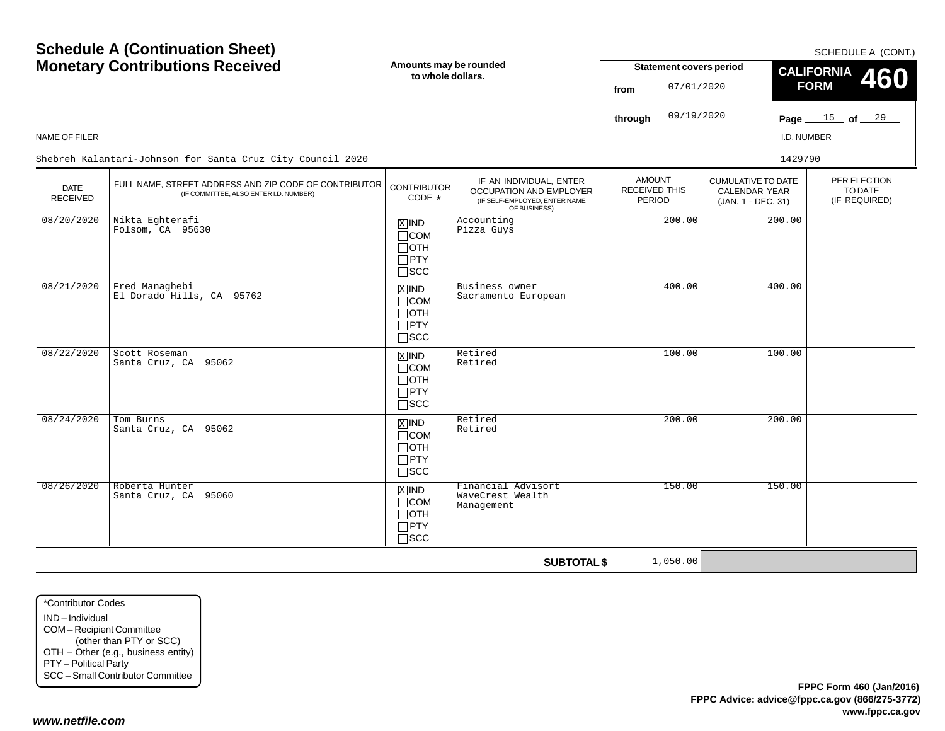| NAME OF FILER           | <b>Schedule A (Continuation Sheet)</b><br><b>Monetary Contributions Received</b>                | Amounts may be rounded<br>to whole dollars.                                       |                                                                                                     | <b>Statement covers period</b><br>07/01/2020<br>from<br>09/19/2020<br>through |                                                                         | I.D. NUMBER | SCHEDULE A (CONT.)<br><b>CALIFORNIA</b><br><b>460</b><br><b>FORM</b><br>Page $15$ of $29$ |
|-------------------------|-------------------------------------------------------------------------------------------------|-----------------------------------------------------------------------------------|-----------------------------------------------------------------------------------------------------|-------------------------------------------------------------------------------|-------------------------------------------------------------------------|-------------|-------------------------------------------------------------------------------------------|
|                         | Shebreh Kalantari-Johnson for Santa Cruz City Council 2020                                      |                                                                                   |                                                                                                     |                                                                               |                                                                         | 1429790     |                                                                                           |
| DATE<br><b>RECEIVED</b> | FULL NAME, STREET ADDRESS AND ZIP CODE OF CONTRIBUTOR<br>(IF COMMITTEE, ALSO ENTER I.D. NUMBER) | <b>CONTRIBUTOR</b><br>CODE *                                                      | IF AN INDIVIDUAL, ENTER<br>OCCUPATION AND EMPLOYER<br>(IF SELF-EMPLOYED, ENTER NAME<br>OF BUSINESS) | <b>AMOUNT</b><br>RECEIVED THIS<br>PERIOD                                      | <b>CUMULATIVE TO DATE</b><br><b>CALENDAR YEAR</b><br>(JAN. 1 - DEC. 31) |             | PER ELECTION<br>TO DATE<br>(IF REQUIRED)                                                  |
| 08/20/2020              | Nikta Eghterafi<br>Folsom, CA 95630                                                             | $\boxed{\text{X}}$ IND<br>$\Box$ COM<br>$\Box$ OTH<br>$\Box$ PTY<br>$\square$ SCC | Accounting<br>Pizza Guys                                                                            | 200.00                                                                        |                                                                         | 200.00      |                                                                                           |
| 08/21/2020              | Fred Managhebi<br>El Dorado Hills, CA 95762                                                     | $\boxed{\text{X}}$ IND<br>$\Box$ COM<br>$\Box$ OTH<br>$\Box$ PTY<br>$\square$ scc | Business owner<br>Sacramento European                                                               | 400.00                                                                        |                                                                         | 400.00      |                                                                                           |
| 08/22/2020              | Scott Roseman<br>Santa Cruz, CA 95062                                                           | $\overline{X}$ IND<br>$\Box$ COM<br>$\Box$ OTH<br>$\Box$ PTY<br>$\Box$ scc        | Retired<br>Retired                                                                                  | 100.00                                                                        |                                                                         | 100.00      |                                                                                           |
| 08/24/2020              | Tom Burns<br>Santa Cruz, CA 95062                                                               | $\boxed{\text{X}}$ IND<br>$\Box$ COM<br>$\Box$ OTH<br>$\Box$ PTY<br>$\square$ scc | Retired<br>Retired                                                                                  | 200.00                                                                        |                                                                         | 200.00      |                                                                                           |
| 08/26/2020              | Roberta Hunter<br>Santa Cruz, CA 95060                                                          | $X$ IND<br>$\Box$ COM<br>$\Box$ OTH<br>$\Box$ PTY<br>$\Box$ SCC                   | Financial Advisort<br>WaveCrest Wealth<br>Management                                                | 150.00                                                                        |                                                                         | 150.00      |                                                                                           |
|                         |                                                                                                 |                                                                                   | <b>SUBTOTAL \$</b>                                                                                  | 1,050.00                                                                      |                                                                         |             |                                                                                           |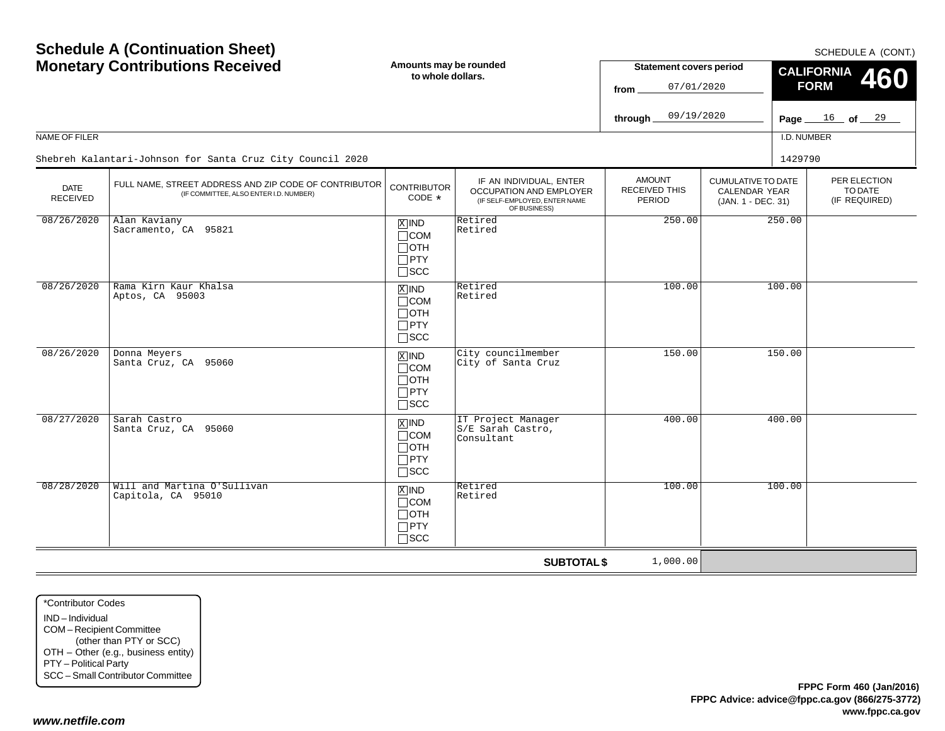SCHEDULE A (CONT.)

| <b>Monetary Contributions Received</b> |                                                                                                 | Amounts may be rounded<br>to whole dollars.                                |                                                                                                     | <b>Statement covers period</b><br>07/01/2020<br>from |                                                                  | CALIFORNIA 460<br><b>FORM</b> |                                          |  |
|----------------------------------------|-------------------------------------------------------------------------------------------------|----------------------------------------------------------------------------|-----------------------------------------------------------------------------------------------------|------------------------------------------------------|------------------------------------------------------------------|-------------------------------|------------------------------------------|--|
|                                        |                                                                                                 |                                                                            |                                                                                                     | 09/19/2020<br>through.                               |                                                                  |                               | Page $16$ of $29$                        |  |
| NAME OF FILER                          |                                                                                                 |                                                                            |                                                                                                     |                                                      |                                                                  | I.D. NUMBER                   |                                          |  |
|                                        | Shebreh Kalantari-Johnson for Santa Cruz City Council 2020                                      |                                                                            |                                                                                                     |                                                      |                                                                  | 1429790                       |                                          |  |
| <b>DATE</b><br>RECEIVED                | FULL NAME, STREET ADDRESS AND ZIP CODE OF CONTRIBUTOR<br>(IF COMMITTEE, ALSO ENTER I.D. NUMBER) | <b>CONTRIBUTOR</b><br>$CODE *$                                             | IF AN INDIVIDUAL, ENTER<br>OCCUPATION AND EMPLOYER<br>(IF SELF-EMPLOYED, ENTER NAME<br>OF BUSINESS) | <b>AMOUNT</b><br><b>RECEIVED THIS</b><br>PERIOD      | <b>CUMULATIVE TO DATE</b><br>CALENDAR YEAR<br>(JAN. 1 - DEC. 31) |                               | PER ELECTION<br>TO DATE<br>(IF REQUIRED) |  |
| 08/26/2020                             | Alan Kaviany<br>Sacramento, CA 95821                                                            | $X$ IND<br>$\Box$ COM<br>$\Box$ OTH<br>$\Box$ PTY<br>$\Box$<br><br>SCC     | Retired<br>Retired                                                                                  | 250.00                                               |                                                                  | 250.00                        |                                          |  |
| 08/26/2020                             | Rama Kirn Kaur Khalsa<br>Aptos, CA 95003                                                        | $X$ IND<br>$\Box$ COM<br>$\Box$ OTH<br>$\Box$ PTY<br>$\Box$ scc            | Retired<br>Retired                                                                                  | 100.00                                               |                                                                  | 100.00                        |                                          |  |
| 08/26/2020                             | Donna Meyers<br>Santa Cruz, CA 95060                                                            | $\overline{X}$ IND<br>$\Box$ COM<br>$\Box$ OTH<br>$\Box$ PTY<br>$\Box$ scc | City councilmember<br>City of Santa Cruz                                                            | 150.00                                               |                                                                  | 150.00                        |                                          |  |
| 08/27/2020                             | Sarah Castro<br>Santa Cruz, CA 95060                                                            | $X$ IND<br>$\Box$ COM<br>$\Box$ OTH<br>$\Box$ PTY<br>$\square$ scc         | IT Project Manager<br>S/E Sarah Castro,<br>Consultant                                               | 400.00                                               |                                                                  | 400.00                        |                                          |  |
| 08/28/2020                             | Will and Martina O'Sullivan<br>Capitola, CA 95010                                               | $X$ IND<br>$\Box$ COM<br>$\Box$ OTH<br>$\Box$ PTY<br>$\square$ SCC         | Retired<br>Retired                                                                                  | 100.00                                               |                                                                  | 100.00                        |                                          |  |
|                                        |                                                                                                 |                                                                            | <b>SUBTOTAL \$</b>                                                                                  | 1,000.00                                             |                                                                  |                               |                                          |  |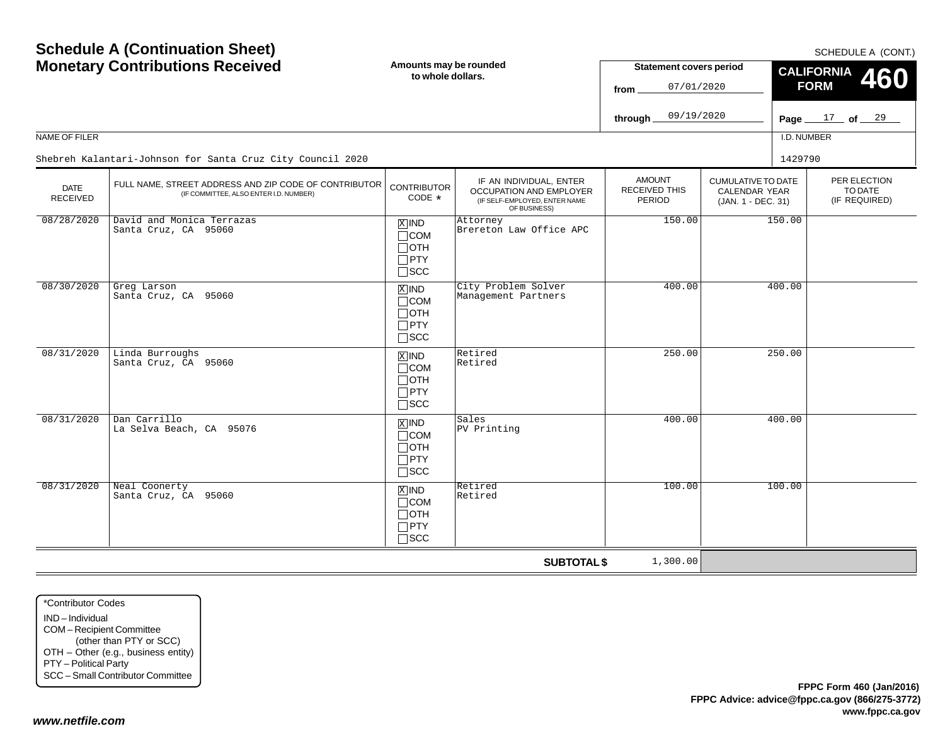| <b>Schedule A (Continuation Sheet)</b><br><b>Monetary Contributions Received</b> |                                                                                                 | Amounts may be rounded<br>to whole dollars.                                       |                                                                                                     | <b>Statement covers period</b><br>07/01/2020<br>from   |                                                                         | SCHEDULE A (CONT.)<br><b>CALIFORNIA</b><br>460<br><b>FORM</b> |                                          |  |
|----------------------------------------------------------------------------------|-------------------------------------------------------------------------------------------------|-----------------------------------------------------------------------------------|-----------------------------------------------------------------------------------------------------|--------------------------------------------------------|-------------------------------------------------------------------------|---------------------------------------------------------------|------------------------------------------|--|
|                                                                                  |                                                                                                 |                                                                                   |                                                                                                     | 09/19/2020<br>through                                  |                                                                         |                                                               | Page $17$ of $29$                        |  |
| NAME OF FILER                                                                    |                                                                                                 |                                                                                   |                                                                                                     |                                                        |                                                                         | I.D. NUMBER                                                   |                                          |  |
|                                                                                  | Shebreh Kalantari-Johnson for Santa Cruz City Council 2020                                      |                                                                                   |                                                                                                     |                                                        |                                                                         | 1429790                                                       |                                          |  |
| <b>DATE</b><br><b>RECEIVED</b>                                                   | FULL NAME, STREET ADDRESS AND ZIP CODE OF CONTRIBUTOR<br>(IF COMMITTEE, ALSO ENTER I.D. NUMBER) | <b>CONTRIBUTOR</b><br>CODE *                                                      | IF AN INDIVIDUAL, ENTER<br>OCCUPATION AND EMPLOYER<br>(IF SELF-EMPLOYED, ENTER NAME<br>OF BUSINESS) | <b>AMOUNT</b><br><b>RECEIVED THIS</b><br><b>PERIOD</b> | <b>CUMULATIVE TO DATE</b><br><b>CALENDAR YEAR</b><br>(JAN. 1 - DEC. 31) |                                                               | PER ELECTION<br>TO DATE<br>(IF REQUIRED) |  |
| 08/28/2020                                                                       | David and Monica Terrazas<br>Santa Cruz, CA 95060                                               | $X$ IND<br>$\Box$ COM<br>$\Box$ OTH<br>$\Box$ PTY<br>$\square$ SCC                | Attorney<br>Brereton Law Office APC                                                                 | 150.00                                                 |                                                                         | 150.00                                                        |                                          |  |
| 08/30/2020                                                                       | Greg Larson<br>Santa Cruz, CA 95060                                                             | $X$ IND<br>$\Box$ COM<br>$\Box$ OTH<br>$\Box$ PTY<br>$\square$ SCC                | City Problem Solver<br>Management Partners                                                          | 400.00                                                 |                                                                         | 400.00                                                        |                                          |  |
| 08/31/2020                                                                       | Linda Burroughs<br>Santa Cruz, CA 95060                                                         | $X$ IND<br>$\Box$ COM<br>$\Box$ OTH<br>$\Box$ PTY<br>$\square$ SCC                | Retired<br>Retired                                                                                  | 250.00                                                 |                                                                         | 250.00                                                        |                                          |  |
| 08/31/2020                                                                       | Dan Carrillo<br>La Selva Beach, CA 95076                                                        | $\boxed{\text{X}}$ IND<br>$\Box$ COM<br>$\Box$ OTH<br>$\Box$ PTY<br>$\square$ scc | Sales<br>PV Printing                                                                                | 400.00                                                 |                                                                         | 400.00                                                        |                                          |  |
| 08/31/2020                                                                       | Neal Coonerty<br>Santa Cruz, CA 95060                                                           | $X$ IND<br>$\Box$ COM<br>$\Box$ OTH<br>$\Box$ PTY<br>$\Box$ scc                   | Retired<br>Retired                                                                                  | 100.00                                                 |                                                                         | 100.00                                                        |                                          |  |
|                                                                                  |                                                                                                 |                                                                                   | <b>SUBTOTAL \$</b>                                                                                  | 1,300.00                                               |                                                                         |                                                               |                                          |  |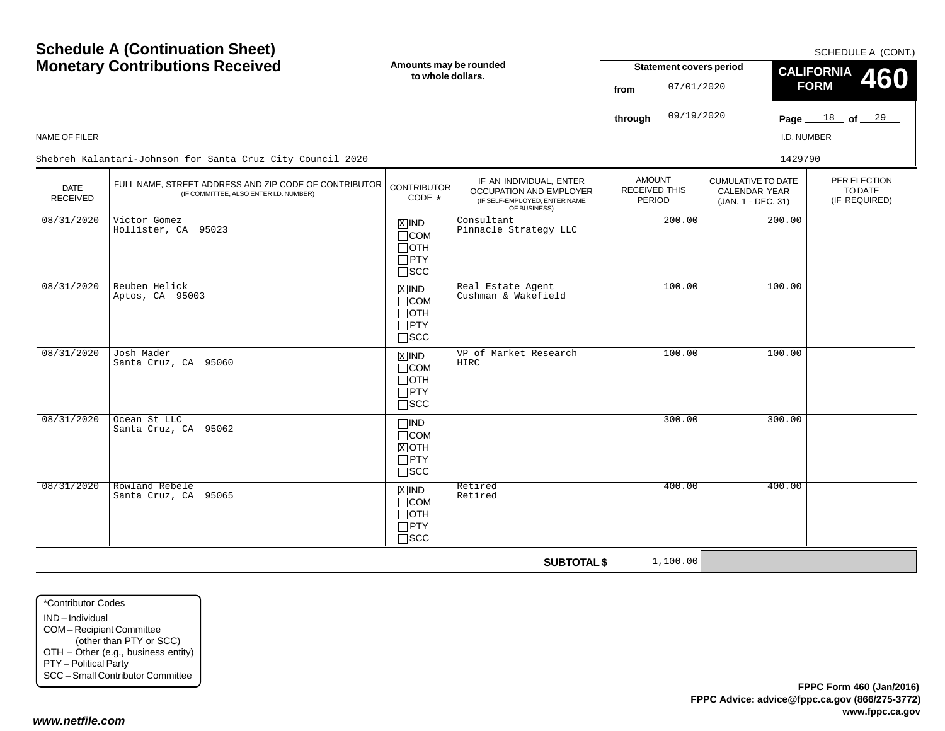SCHEDULE A (CONT.)

|                                | <b>Monetary Contributions Received</b>                                                          |                                                                                 | Amounts may be rounded<br>to whole dollars.                                                         |                                          | <b>Statement covers period</b><br>07/01/2020                            | CALIFORNIA 460<br><b>FORM</b>            |  |  |
|--------------------------------|-------------------------------------------------------------------------------------------------|---------------------------------------------------------------------------------|-----------------------------------------------------------------------------------------------------|------------------------------------------|-------------------------------------------------------------------------|------------------------------------------|--|--|
|                                |                                                                                                 |                                                                                 |                                                                                                     | 09/19/2020<br>through                    |                                                                         | Page $18$ of $29$                        |  |  |
| NAME OF FILER                  |                                                                                                 |                                                                                 |                                                                                                     |                                          |                                                                         | I.D. NUMBER                              |  |  |
|                                | Shebreh Kalantari-Johnson for Santa Cruz City Council 2020                                      |                                                                                 |                                                                                                     |                                          |                                                                         | 1429790                                  |  |  |
| <b>DATE</b><br><b>RECEIVED</b> | FULL NAME, STREET ADDRESS AND ZIP CODE OF CONTRIBUTOR<br>(IF COMMITTEE, ALSO ENTER I.D. NUMBER) | <b>CONTRIBUTOR</b><br>$CODE *$                                                  | IF AN INDIVIDUAL, ENTER<br>OCCUPATION AND EMPLOYER<br>(IF SELF-EMPLOYED, ENTER NAME<br>OF BUSINESS) | <b>AMOUNT</b><br>RECEIVED THIS<br>PERIOD | <b>CUMULATIVE TO DATE</b><br><b>CALENDAR YEAR</b><br>(JAN. 1 - DEC. 31) | PER ELECTION<br>TO DATE<br>(IF REQUIRED) |  |  |
| 08/31/2020                     | Victor Gomez<br>Hollister, CA 95023                                                             | $X$ IND<br>$\sqcap$ COM<br>$\Box$ OTH<br>$\Box$ PTY<br>$\square$ SCC            | Consultant<br>Pinnacle Strategy LLC                                                                 | 200.00                                   | 200.00                                                                  |                                          |  |  |
| 08/31/2020                     | Reuben Helick<br>Aptos, CA 95003                                                                | $\overline{X}$ IND<br>$\sqcap$ COM<br>$\Box$ OTH<br>$\Box$ PTY<br>$\square$ scc | Real Estate Agent<br>Cushman & Wakefield                                                            | 100.00                                   | 100.00                                                                  |                                          |  |  |
| 08/31/2020                     | Josh Mader<br>Santa Cruz, CA 95060                                                              | $x$ IND<br>$\Box$ COM<br>$\Box$ oth<br>$\Box$ PTY<br>$\sqcap$ scc               | VP of Market Research<br>HIRC                                                                       | 100.00                                   | 100.00                                                                  |                                          |  |  |
| 08/31/2020                     | Ocean St LLC<br>Santa Cruz, CA 95062                                                            | $\Box$ IND<br>$\Box$ COM<br>$X$ OTH<br>$\Box$ PTY<br>$\square$ scc              |                                                                                                     | 300.00                                   | 300.00                                                                  |                                          |  |  |
| 08/31/2020                     | Rowland Rebele<br>Santa Cruz, CA 95065                                                          | $X$ IND<br>$\Box$ COM<br>$\Box$ oth<br>$\Box$ PTY<br>$\sqcap$ SCC               | Retired<br>Retired                                                                                  | 400.00                                   | 400.00                                                                  |                                          |  |  |
|                                |                                                                                                 |                                                                                 | <b>SUBTOTAL \$</b>                                                                                  | 1,100.00                                 |                                                                         |                                          |  |  |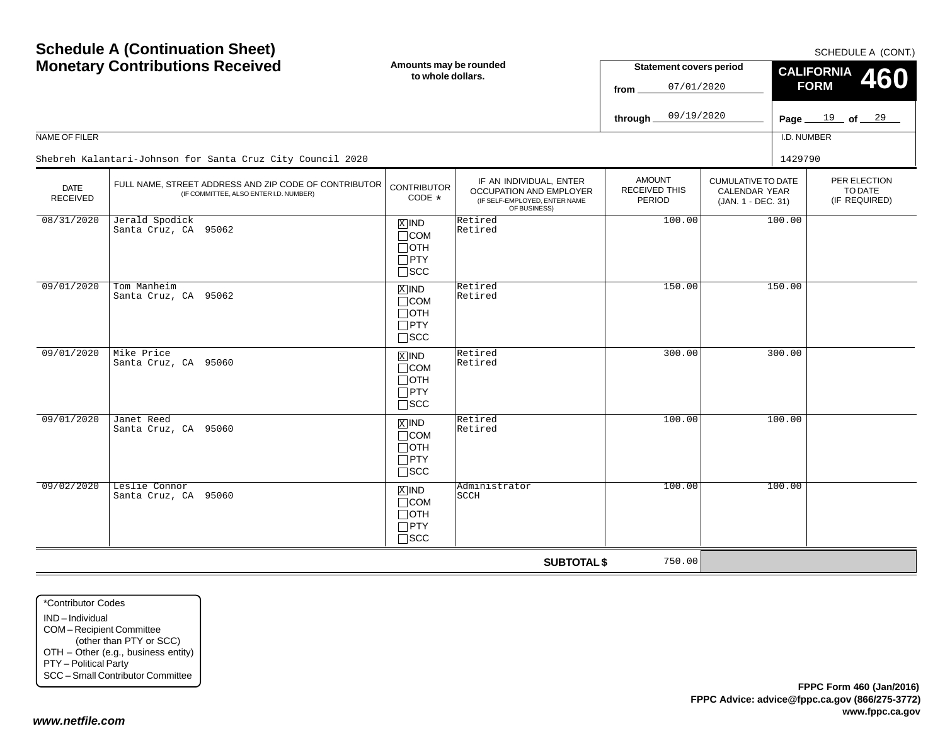SCHEDULE A (CONT.)

| <b>Monetary Contributions Received</b> |                                                                                                 | Amounts may be rounded<br>to whole dollars.                                                  |                                                                                                     | <b>Statement covers period</b><br>07/01/2020<br>from |                                                                  | CALIFORNIA 460<br><b>FORM</b> |                                          |  |
|----------------------------------------|-------------------------------------------------------------------------------------------------|----------------------------------------------------------------------------------------------|-----------------------------------------------------------------------------------------------------|------------------------------------------------------|------------------------------------------------------------------|-------------------------------|------------------------------------------|--|
|                                        |                                                                                                 |                                                                                              |                                                                                                     | 09/19/2020<br>through.                               |                                                                  | Page $19$ of $29$             |                                          |  |
| NAME OF FILER                          |                                                                                                 |                                                                                              |                                                                                                     |                                                      |                                                                  | I.D. NUMBER                   |                                          |  |
|                                        | Shebreh Kalantari-Johnson for Santa Cruz City Council 2020                                      |                                                                                              |                                                                                                     |                                                      |                                                                  | 1429790                       |                                          |  |
| <b>DATE</b><br>RECEIVED                | FULL NAME, STREET ADDRESS AND ZIP CODE OF CONTRIBUTOR<br>(IF COMMITTEE, ALSO ENTER I.D. NUMBER) | <b>CONTRIBUTOR</b><br>$CODE *$                                                               | IF AN INDIVIDUAL, ENTER<br>OCCUPATION AND EMPLOYER<br>(IF SELF-EMPLOYED, ENTER NAME<br>OF BUSINESS) | <b>AMOUNT</b><br>RECEIVED THIS<br>PERIOD             | <b>CUMULATIVE TO DATE</b><br>CALENDAR YEAR<br>(JAN. 1 - DEC. 31) |                               | PER ELECTION<br>TO DATE<br>(IF REQUIRED) |  |
| 08/31/2020                             | Jerald Spodick<br>Santa Cruz, CA 95062                                                          | $\boxed{\text{X}}$ IND<br>$\Box$ COM<br>$\Box$ OTH<br>$\Box$ PTY<br>$\square$ SCC            | Retired<br>Retired                                                                                  | 100.00                                               |                                                                  | 100.00                        |                                          |  |
| 09/01/2020                             | Tom Manheim<br>Santa Cruz, CA 95062                                                             | $X$ IND<br>$\Box$ COM<br>$\Box$ OTH<br>$\Box$ PTY<br>$\square$ scc                           | Retired<br>Retired                                                                                  | 150.00                                               |                                                                  | 150.00                        |                                          |  |
| 09/01/2020                             | Mike Price<br>Santa Cruz, CA 95060                                                              | $X$ IND<br>$\Box$ COM<br>$\Box$ OTH<br>$\Box$ PTY<br>$\Box$ scc                              | Retired<br>Retired                                                                                  | 300.00                                               |                                                                  | 300.00                        |                                          |  |
| 09/01/2020                             | Janet Reed<br>Santa Cruz, CA 95060                                                              | $\boxed{\text{X}}$ IND<br>$\Box$ COM<br>$\Box$ OTH<br>$\overline{\Box}$ PTY<br>$\square$ SCC | Retired<br>Retired                                                                                  | 100.00                                               |                                                                  | 100.00                        |                                          |  |
| 09/02/2020                             | Leslie Connor<br>Santa Cruz, CA 95060                                                           | $X$ IND<br>$\Box$ COM<br>$\Box$ OTH<br>$\Box$ PTY<br>$\square$ SCC                           | Administrator<br>SCCH                                                                               | 100.00                                               |                                                                  | 100.00                        |                                          |  |
|                                        |                                                                                                 |                                                                                              | <b>SUBTOTAL \$</b>                                                                                  | 750.00                                               |                                                                  |                               |                                          |  |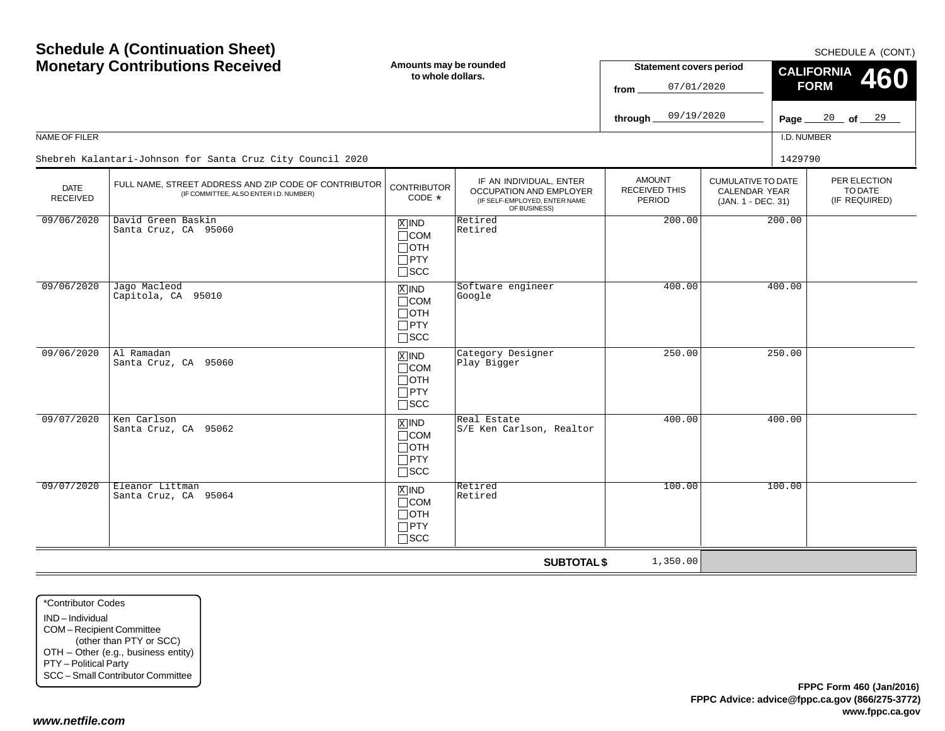SCHEDULE A (CONT.)

| <b>Monetary Contributions Received</b> |                                                                                                 | Amounts may be rounded<br>to whole dollars.                        |                                                                                                     | <b>Statement covers period</b><br>07/01/2020<br>from |                                                                         | CALIFORNIA 460<br><b>FORM</b> |                                          |  |
|----------------------------------------|-------------------------------------------------------------------------------------------------|--------------------------------------------------------------------|-----------------------------------------------------------------------------------------------------|------------------------------------------------------|-------------------------------------------------------------------------|-------------------------------|------------------------------------------|--|
|                                        |                                                                                                 |                                                                    |                                                                                                     | 09/19/2020<br>through.                               |                                                                         | Page $_{-}$                   | 20 of 29                                 |  |
| NAME OF FILER                          |                                                                                                 |                                                                    |                                                                                                     |                                                      |                                                                         | I.D. NUMBER                   |                                          |  |
|                                        | Shebreh Kalantari-Johnson for Santa Cruz City Council 2020                                      |                                                                    |                                                                                                     |                                                      |                                                                         | 1429790                       |                                          |  |
| <b>DATE</b><br><b>RECEIVED</b>         | FULL NAME, STREET ADDRESS AND ZIP CODE OF CONTRIBUTOR<br>(IF COMMITTEE, ALSO ENTER I.D. NUMBER) | <b>CONTRIBUTOR</b><br>$CODE *$                                     | IF AN INDIVIDUAL, ENTER<br>OCCUPATION AND EMPLOYER<br>(IF SELF-EMPLOYED, ENTER NAME<br>OF BUSINESS) | <b>AMOUNT</b><br><b>RECEIVED THIS</b><br>PERIOD      | <b>CUMULATIVE TO DATE</b><br><b>CALENDAR YEAR</b><br>(JAN. 1 - DEC. 31) |                               | PER ELECTION<br>TO DATE<br>(IF REQUIRED) |  |
| 09/06/2020                             | David Green Baskin<br>Santa Cruz, CA 95060                                                      | $X$ IND<br>$\Box$ COM<br>$\Box$ OTH<br>$\Box$ PTY<br>$\square$ scc | Retired<br>Retired                                                                                  | 200.00                                               |                                                                         | 200.00                        |                                          |  |
| 09/06/2020                             | Jago Macleod<br>Capitola, CA 95010                                                              | $X$ IND<br>$\Box$ COM<br>$\Box$ OTH<br>$\Box$ PTY<br>$\Box$ scc    | Software engineer<br>Google                                                                         | 400.00                                               |                                                                         | 400.00                        |                                          |  |
| 09/06/2020                             | Al Ramadan<br>Santa Cruz, CA 95060                                                              | $X$ IND<br>$\Box$ COM<br>$\Box$ oth<br>$\Box$ PTY<br>$\Box$ scc    | Category Designer<br>Play Bigger                                                                    | 250.00                                               |                                                                         | 250.00                        |                                          |  |
| 09/07/2020                             | Ken Carlson<br>Santa Cruz, CA 95062                                                             | $x$ IND<br>$\Box$ COM<br>$\Box$ oth<br>$\Box$ PTY<br>$\square$ scc | Real Estate<br>S/E Ken Carlson, Realtor                                                             | 400.00                                               |                                                                         | 400.00                        |                                          |  |
| 09/07/2020                             | Eleanor Littman<br>Santa Cruz, CA 95064                                                         | $X$ IND<br>$\Box$ COM<br>$\Box$ OTH<br>$\Box$ PTY<br>$\Box$ SCC    | Retired<br>Retired                                                                                  | 100.00                                               |                                                                         | 100.00                        |                                          |  |
|                                        |                                                                                                 |                                                                    | <b>SUBTOTAL \$</b>                                                                                  | 1,350.00                                             |                                                                         |                               |                                          |  |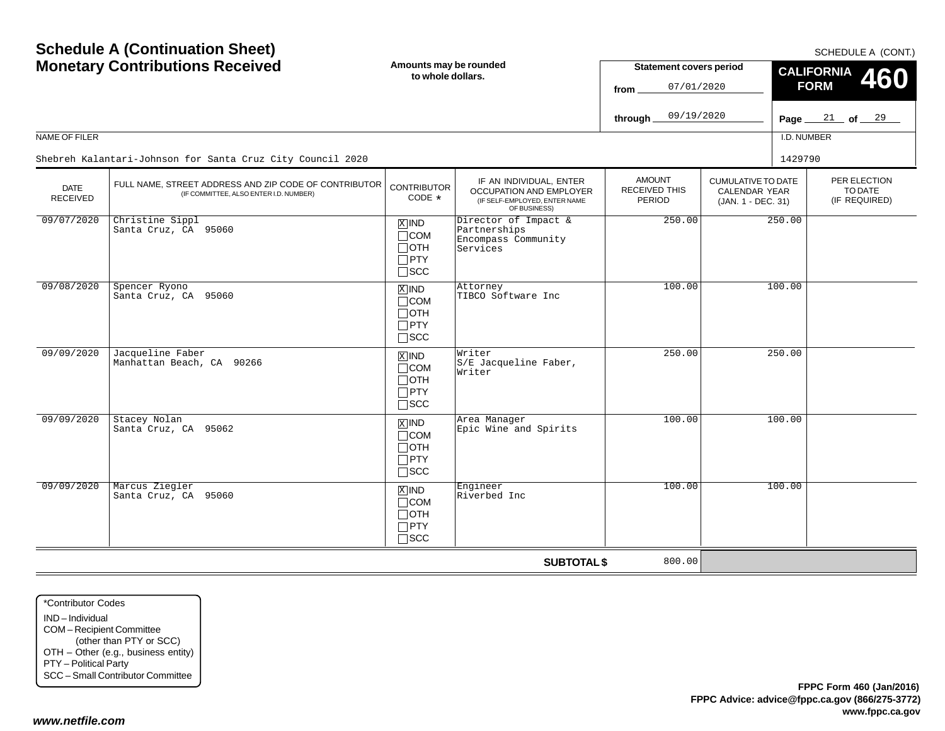| <b>Schedule A (Continuation Sheet)</b><br><b>Monetary Contributions Received</b><br>NAME OF FILER |                                                                                                 | Amounts may be rounded<br>to whole dollars.                                    |                                                                                                            | SCHEDULE A (CONT.)<br><b>Statement covers period</b><br><b>CALIFORNIA</b><br>460<br><b>FORM</b><br>07/01/2020<br>from<br>09/19/2020<br>$\frac{21}{ }$ of $\frac{29}{ }$<br>through<br>Page $\_\_$<br>I.D. NUMBER |                                                                  |         |                                          |  |
|---------------------------------------------------------------------------------------------------|-------------------------------------------------------------------------------------------------|--------------------------------------------------------------------------------|------------------------------------------------------------------------------------------------------------|------------------------------------------------------------------------------------------------------------------------------------------------------------------------------------------------------------------|------------------------------------------------------------------|---------|------------------------------------------|--|
|                                                                                                   | Shebreh Kalantari-Johnson for Santa Cruz City Council 2020                                      |                                                                                |                                                                                                            |                                                                                                                                                                                                                  |                                                                  | 1429790 |                                          |  |
| <b>DATE</b><br><b>RECEIVED</b>                                                                    | FULL NAME, STREET ADDRESS AND ZIP CODE OF CONTRIBUTOR<br>(IF COMMITTEE, ALSO ENTER I.D. NUMBER) | <b>CONTRIBUTOR</b><br>$CODE *$                                                 | IF AN INDIVIDUAL, ENTER<br><b>OCCUPATION AND EMPLOYER</b><br>(IF SELF-EMPLOYED, ENTER NAME<br>OF BUSINESS) | <b>AMOUNT</b><br>RECEIVED THIS<br><b>PERIOD</b>                                                                                                                                                                  | <b>CUMULATIVE TO DATE</b><br>CALENDAR YEAR<br>(JAN. 1 - DEC. 31) |         | PER ELECTION<br>TO DATE<br>(IF REQUIRED) |  |
| 09/07/2020                                                                                        | Christine Sippl<br>Santa Cruz, CA 95060                                                         | $\overline{X}$ IND<br>$\Box$ COM<br>$\Box$ OTH<br>$\Box$ PTY<br>$\square$ SCC  | Director of Impact &<br>Partnerships<br>Encompass Community<br>Services                                    | 250.00                                                                                                                                                                                                           | 250.00                                                           |         |                                          |  |
| 09/08/2020                                                                                        | Spencer Ryono<br>Santa Cruz, CA 95060                                                           | $X$ IND<br>$\Box$ COM<br>$\Box$ OTH<br>$\Box$ PTY<br>$\Box$ SCC                | Attorney<br>TIBCO Software Inc                                                                             | 100.00                                                                                                                                                                                                           |                                                                  | 100.00  |                                          |  |
| 09/09/2020                                                                                        | Jacqueline Faber<br>Manhattan Beach, CA 90266                                                   | $X$ IND<br>$\Box$ COM<br>$\Box$ OTH<br>$\Box$ PTY<br>$\square$ SCC             | Writer<br>S/E Jacqueline Faber,<br>Writer                                                                  | 250.00                                                                                                                                                                                                           |                                                                  | 250.00  |                                          |  |
| 09/09/2020                                                                                        | Stacey Nolan<br>Santa Cruz, CA 95062                                                            | $\boxed{\text{X}}$ IND<br>$\Box$ COM<br>$\Box$ OTH<br>$\Box$ PTY<br>$\Box$ SCC | Area Manager<br>Epic Wine and Spirits                                                                      | 100.00                                                                                                                                                                                                           |                                                                  | 100.00  |                                          |  |
| 09/09/2020                                                                                        | Marcus Ziegler<br>Santa Cruz, CA 95060                                                          | $X$ IND<br>$\Box$ COM<br>$\Box$ OTH<br>$\Box$ PTY<br>$\Box$ SCC                | Engineer<br>Riverbed Inc                                                                                   | 100.00                                                                                                                                                                                                           |                                                                  | 100.00  |                                          |  |
|                                                                                                   |                                                                                                 |                                                                                | <b>SUBTOTAL \$</b>                                                                                         | 800.00                                                                                                                                                                                                           |                                                                  |         |                                          |  |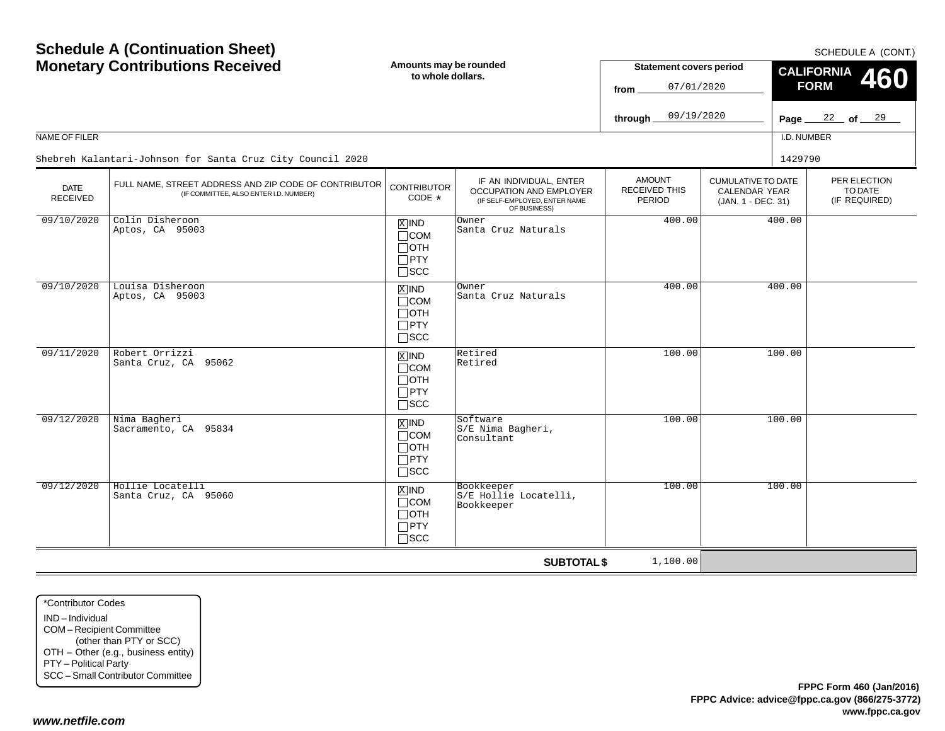$SCHFDUI F A (CONT)$ 

| <b>Monetary Contributions Received</b> |                                                                                                 | Amounts may be rounded<br>to whole dollars.                                   |                                                                                                     | <b>Statement covers period</b><br>07/01/2020<br>from |                                                                  | <u>.</u><br><b>CALIFORNIA</b><br>460<br><b>FORM</b> |                                          |
|----------------------------------------|-------------------------------------------------------------------------------------------------|-------------------------------------------------------------------------------|-----------------------------------------------------------------------------------------------------|------------------------------------------------------|------------------------------------------------------------------|-----------------------------------------------------|------------------------------------------|
|                                        |                                                                                                 |                                                                               |                                                                                                     | 09/19/2020<br>through $\_$                           |                                                                  |                                                     | Page $22$ of $29$                        |
| NAME OF FILER                          |                                                                                                 |                                                                               |                                                                                                     |                                                      |                                                                  | I.D. NUMBER                                         |                                          |
|                                        | Shebreh Kalantari-Johnson for Santa Cruz City Council 2020                                      |                                                                               |                                                                                                     |                                                      |                                                                  | 1429790                                             |                                          |
| <b>DATE</b><br><b>RECEIVED</b>         | FULL NAME, STREET ADDRESS AND ZIP CODE OF CONTRIBUTOR<br>(IF COMMITTEE, ALSO ENTER I.D. NUMBER) | <b>CONTRIBUTOR</b><br>CODE $*$                                                | IF AN INDIVIDUAL, ENTER<br>OCCUPATION AND EMPLOYER<br>(IF SELF-EMPLOYED, ENTER NAME<br>OF BUSINESS) | <b>AMOUNT</b><br>RECEIVED THIS<br><b>PERIOD</b>      | <b>CUMULATIVE TO DATE</b><br>CALENDAR YEAR<br>(JAN. 1 - DEC. 31) |                                                     | PER ELECTION<br>TO DATE<br>(IF REQUIRED) |
| 09/10/2020                             | Colin Disheroon<br>Aptos, CA 95003                                                              | $X$ IND<br>$\Box$ COM<br>$\Box$ OTH<br>$\Box$ PTY<br>$\square$ SCC            | Owner<br>Santa Cruz Naturals                                                                        | 400.00                                               |                                                                  | 400.00                                              |                                          |
| 09/10/2020                             | Louisa Disheroon<br>Aptos, CA 95003                                                             | $X$ IND<br>$\Box$ COM<br>$\Box$ OTH<br>$\Box$ PTY<br>$\Box$ SCC               | Owner<br>Santa Cruz Naturals                                                                        | 400.00                                               |                                                                  | 400.00                                              |                                          |
| 09/11/2020                             | Robert Orrizzi<br>Santa Cruz, CA 95062                                                          | $X$ IND<br>$\Box$ COM<br>$\Box$ OTH<br>$\Box$ PTY<br>$\square$ SCC            | Retired<br>Retired                                                                                  | 100.00                                               |                                                                  | 100.00                                              |                                          |
| 09/12/2020                             | Nima Bagheri<br>Sacramento, CA 95834                                                            | $\overline{X}$ IND<br>$\Box$ COM<br>$\Box$ OTH<br>$\Box$ PTY<br>$\square$ SCC | Software<br>S/E Nima Bagheri,<br>Consultant                                                         | 100.00                                               |                                                                  | 100.00                                              |                                          |
| 09/12/2020                             | Hollie Locatelli<br>Santa Cruz, CA 95060                                                        | $X$ IND<br>$\Box$ COM<br>$\Box$ OTH<br>$\Box$ PTY<br>$\sqcap$ SCC             | Bookkeeper<br>S/E Hollie Locatelli,<br>Bookkeeper                                                   | 100.00                                               |                                                                  | 100.00                                              |                                          |
|                                        |                                                                                                 |                                                                               | <b>SUBTOTAL \$</b>                                                                                  | 1,100.00                                             |                                                                  |                                                     |                                          |

\*Contributor CodesIND – IndividualCOM – Recipient Committee (other than PTY or SCC) OTH – Other (e.g., business entity) PTY – Political Party SCC – Small Contributor Committee

**Schedule A (Continuation Sheet)**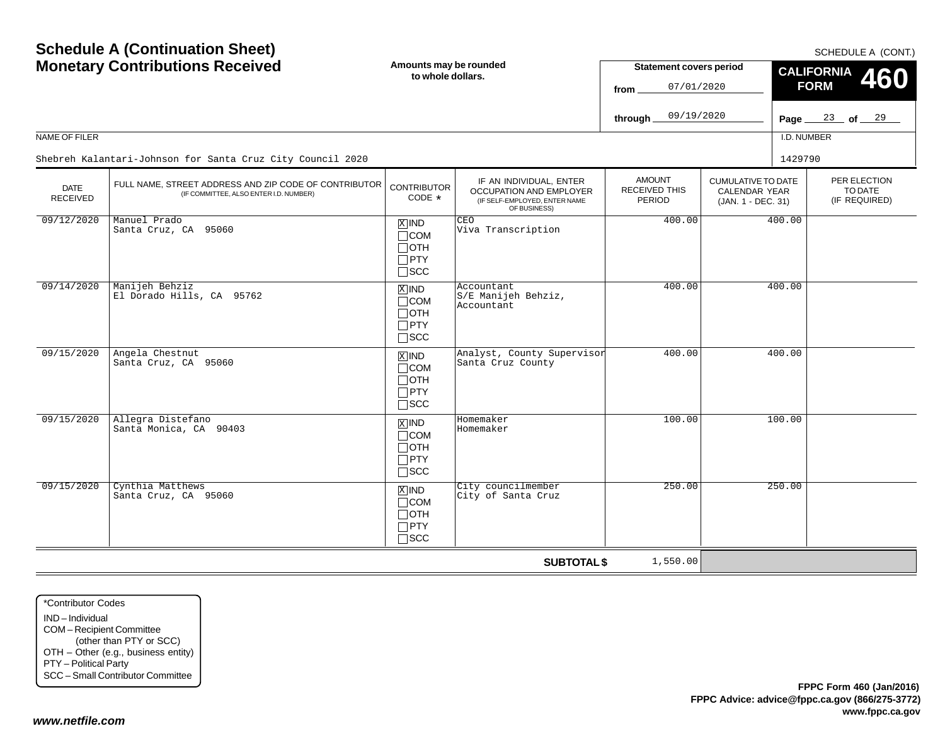SCHEDULE A (CONT.)

| <b>Monetary Contributions Received</b> |                                                                                                 | Amounts may be rounded<br>to whole dollars.                        |                                                                                                     | <b>Statement covers period</b><br>07/01/2020<br>from |                                                                         | CALIFORNIA 460<br><b>FORM</b> |                                          |  |
|----------------------------------------|-------------------------------------------------------------------------------------------------|--------------------------------------------------------------------|-----------------------------------------------------------------------------------------------------|------------------------------------------------------|-------------------------------------------------------------------------|-------------------------------|------------------------------------------|--|
|                                        |                                                                                                 |                                                                    |                                                                                                     | 09/19/2020<br>through.                               |                                                                         | Page $\equiv$                 | $23$ of $29$                             |  |
| NAME OF FILER                          |                                                                                                 |                                                                    |                                                                                                     |                                                      |                                                                         | I.D. NUMBER                   |                                          |  |
|                                        | Shebreh Kalantari-Johnson for Santa Cruz City Council 2020                                      |                                                                    |                                                                                                     |                                                      |                                                                         | 1429790                       |                                          |  |
| <b>DATE</b><br><b>RECEIVED</b>         | FULL NAME, STREET ADDRESS AND ZIP CODE OF CONTRIBUTOR<br>(IF COMMITTEE, ALSO ENTER I.D. NUMBER) | <b>CONTRIBUTOR</b><br>$CODE *$                                     | IF AN INDIVIDUAL, ENTER<br>OCCUPATION AND EMPLOYER<br>(IF SELF-EMPLOYED, ENTER NAME<br>OF BUSINESS) | <b>AMOUNT</b><br><b>RECEIVED THIS</b><br>PERIOD      | <b>CUMULATIVE TO DATE</b><br><b>CALENDAR YEAR</b><br>(JAN. 1 - DEC. 31) |                               | PER ELECTION<br>TO DATE<br>(IF REQUIRED) |  |
| 09/12/2020                             | Manuel Prado<br>Santa Cruz, CA 95060                                                            | $X$ IND<br>$\Box$ COM<br>$\Box$ OTH<br>$\Box$ PTY<br>$\square$ scc | <b>CEO</b><br>Viva Transcription                                                                    | 400.00                                               |                                                                         | 400.00                        |                                          |  |
| 09/14/2020                             | Manijeh Behziz<br>El Dorado Hills, CA 95762                                                     | $X$ IND<br>$\Box$ COM<br>$\Box$ OTH<br>$\Box$ PTY<br>$\Box$ scc    | Accountant<br>S/E Manijeh Behziz,<br>Accountant                                                     | 400.00                                               |                                                                         | 400.00                        |                                          |  |
| 09/15/2020                             | Angela Chestnut<br>Santa Cruz, CA 95060                                                         | $X$ IND<br>$\Box$ COM<br>$\Box$ oth<br>$\Box$ PTY<br>$\Box$ scc    | Analyst, County Supervisor<br>Santa Cruz County                                                     | 400.00                                               |                                                                         | 400.00                        |                                          |  |
| 09/15/2020                             | Allegra Distefano<br>Santa Monica, CA 90403                                                     | $x$ IND<br>$\Box$ COM<br>$\Box$ oth<br>$\Box$ PTY<br>$\square$ scc | Homemaker<br>Homemaker                                                                              | 100.00                                               |                                                                         | 100.00                        |                                          |  |
| 09/15/2020                             | Cynthia Matthews<br>Santa Cruz, CA 95060                                                        | $X$ IND<br>$\Box$ COM<br>$\Box$ OTH<br>$\Box$ PTY<br>$\Box$ SCC    | City councilmember<br>City of Santa Cruz                                                            | 250.00                                               |                                                                         | 250.00                        |                                          |  |
|                                        |                                                                                                 |                                                                    | <b>SUBTOTAL \$</b>                                                                                  | 1,550.00                                             |                                                                         |                               |                                          |  |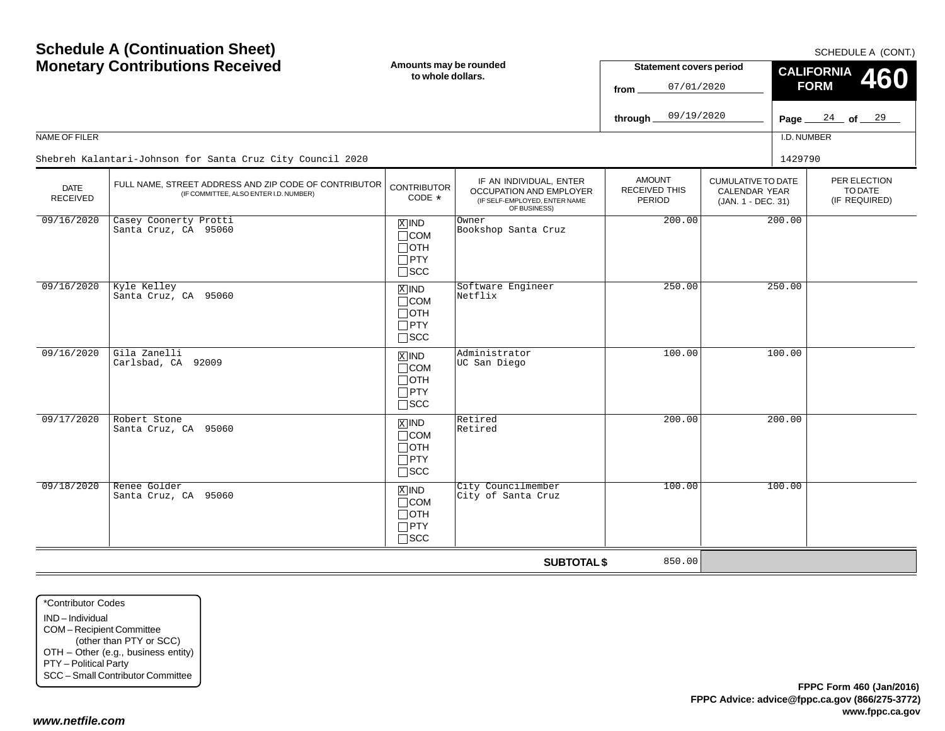| NAME OF FILER           | <b>Schedule A (Continuation Sheet)</b><br><b>Monetary Contributions Received</b><br>Shebreh Kalantari-Johnson for Santa Cruz City Council 2020 | Amounts may be rounded<br>to whole dollars.                                       |                                                                                                     | <b>Statement covers period</b><br>07/01/2020<br>from<br>09/19/2020<br>through |                                                                         | Page $\equiv$<br>I.D. NUMBER<br>1429790 | SCHEDULE A (CONT.)<br><b>CALIFORNIA</b><br><b>460</b><br><b>FORM</b><br>$\frac{24}{ }$ of $\frac{29}{ }$ |
|-------------------------|------------------------------------------------------------------------------------------------------------------------------------------------|-----------------------------------------------------------------------------------|-----------------------------------------------------------------------------------------------------|-------------------------------------------------------------------------------|-------------------------------------------------------------------------|-----------------------------------------|----------------------------------------------------------------------------------------------------------|
| DATE<br><b>RECEIVED</b> | FULL NAME, STREET ADDRESS AND ZIP CODE OF CONTRIBUTOR<br>(IF COMMITTEE, ALSO ENTER I.D. NUMBER)                                                | <b>CONTRIBUTOR</b><br>CODE *                                                      | IF AN INDIVIDUAL, ENTER<br>OCCUPATION AND EMPLOYER<br>(IF SELF-EMPLOYED, ENTER NAME<br>OF BUSINESS) | <b>AMOUNT</b><br>RECEIVED THIS<br>PERIOD                                      | <b>CUMULATIVE TO DATE</b><br><b>CALENDAR YEAR</b><br>(JAN. 1 - DEC. 31) |                                         | PER ELECTION<br>TO DATE<br>(IF REQUIRED)                                                                 |
| 09/16/2020              | Casey Coonerty Protti<br>Santa Cruz, CA 95060                                                                                                  | $X$ IND<br>$\Box$ COM<br>$\Box$ OTH<br>$\Box$ PTY<br>$\square$ SCC                | Owner<br>Bookshop Santa Cruz                                                                        | 200.00                                                                        | 200.00                                                                  |                                         |                                                                                                          |
| 09/16/2020              | Kyle Kelley<br>Santa Cruz, CA 95060                                                                                                            | $\boxed{\text{X}}$ IND<br>$\Box$ COM<br>$\Box$ OTH<br>$\Box$ PTY<br>$\square$ scc | Software Engineer<br>Netflix                                                                        | 250.00                                                                        |                                                                         | 250.00                                  |                                                                                                          |
| 09/16/2020              | Gila Zanelli<br>Carlsbad, CA 92009                                                                                                             | $\overline{X}$ IND<br>$\Box$ COM<br>$\Box$ OTH<br>$\Box$ PTY<br>$\Box$ scc        | Administrator<br>UC San Diego                                                                       | 100.00                                                                        |                                                                         | 100.00                                  |                                                                                                          |
| 09/17/2020              | Robert Stone<br>Santa Cruz, CA 95060                                                                                                           | $\boxed{\text{X}}$ IND<br>$\Box$ COM<br>$\Box$ OTH<br>$\Box$ PTY<br>$\square$ scc | Retired<br>Retired                                                                                  | 200.00                                                                        |                                                                         | 200.00                                  |                                                                                                          |
| 09/18/2020              | Renee Golder<br>Santa Cruz, CA 95060                                                                                                           | $X$ IND<br>$\Box$ COM<br>$\Box$ OTH<br>$\Box$ PTY<br>$\Box$ scc                   | City Councilmember<br>City of Santa Cruz                                                            | 100.00                                                                        |                                                                         | 100.00                                  |                                                                                                          |
|                         |                                                                                                                                                |                                                                                   | <b>SUBTOTAL \$</b>                                                                                  | 850.00                                                                        |                                                                         |                                         |                                                                                                          |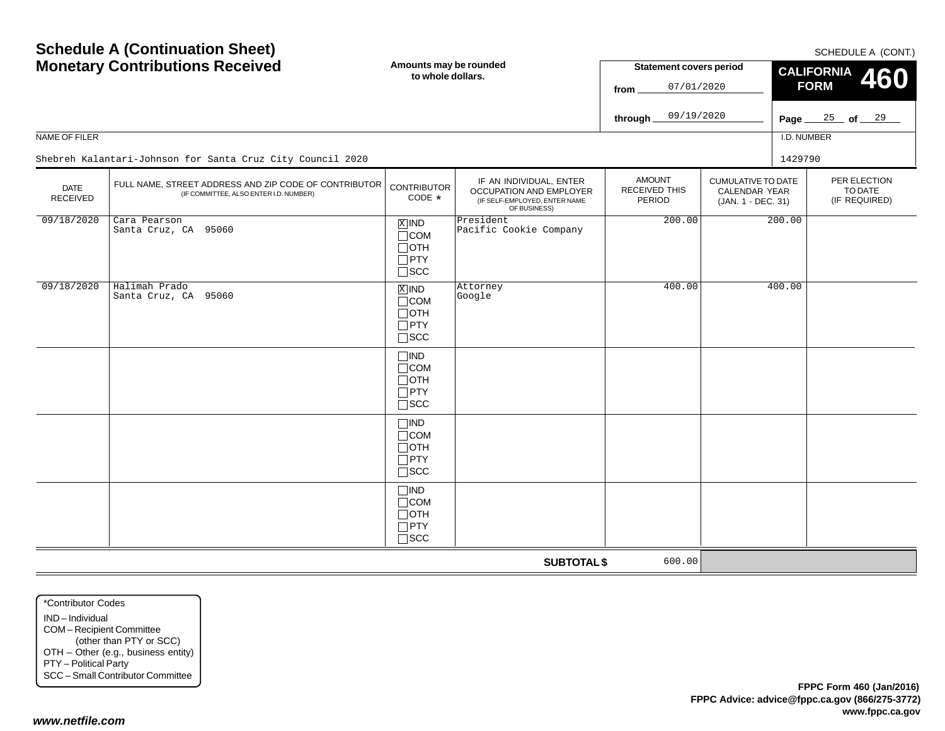| <b>Schedule A (Continuation Sheet)</b><br><b>Monetary Contributions Received</b> |                                                                                                 | Amounts may be rounded<br>to whole dollars.                            |                                                                                                     | <b>Statement covers period</b><br>07/01/2020<br>from |                                                                         | SCHEDULE A (CONT.)<br><b>CALIFORNIA</b><br>460<br><b>FORM</b> |                                          |
|----------------------------------------------------------------------------------|-------------------------------------------------------------------------------------------------|------------------------------------------------------------------------|-----------------------------------------------------------------------------------------------------|------------------------------------------------------|-------------------------------------------------------------------------|---------------------------------------------------------------|------------------------------------------|
|                                                                                  |                                                                                                 |                                                                        |                                                                                                     | 09/19/2020<br>through                                |                                                                         | Page_                                                         | $25$ of $29$                             |
| NAME OF FILER                                                                    |                                                                                                 |                                                                        |                                                                                                     |                                                      |                                                                         | I.D. NUMBER                                                   |                                          |
|                                                                                  | Shebreh Kalantari-Johnson for Santa Cruz City Council 2020                                      |                                                                        |                                                                                                     |                                                      |                                                                         | 1429790                                                       |                                          |
| <b>DATE</b><br><b>RECEIVED</b>                                                   | FULL NAME, STREET ADDRESS AND ZIP CODE OF CONTRIBUTOR<br>(IF COMMITTEE, ALSO ENTER I.D. NUMBER) | <b>CONTRIBUTOR</b><br>CODE *                                           | IF AN INDIVIDUAL, ENTER<br>OCCUPATION AND EMPLOYER<br>(IF SELF-EMPLOYED, ENTER NAME<br>OF BUSINESS) | <b>AMOUNT</b><br>RECEIVED THIS<br>PERIOD             | <b>CUMULATIVE TO DATE</b><br><b>CALENDAR YEAR</b><br>(JAN. 1 - DEC. 31) |                                                               | PER ELECTION<br>TO DATE<br>(IF REQUIRED) |
| 09/18/2020                                                                       | Cara Pearson<br>Santa Cruz, CA 95060                                                            | $X$ IND<br>$\Box$ COM<br>$\Box$ OTH<br>$\Box$ PTY<br>$\Box$<br><br>SCC | President<br>Pacific Cookie Company                                                                 | 200.00                                               | 200.00                                                                  |                                                               |                                          |
| 09/18/2020                                                                       | Halimah Prado<br>Santa Cruz, CA 95060                                                           | $X$ IND<br>$\Box$ COM<br>$\Box$ OTH<br>$\Box$ PTY<br>$\square$ SCC     | Attorney<br>Google                                                                                  | 400.00                                               |                                                                         | 400.00                                                        |                                          |
|                                                                                  |                                                                                                 | $\Box$ IND<br>$\Box$ COM<br>$\Box$ OTH<br>$\Box$ PTY<br>$\Box$ SCC     |                                                                                                     |                                                      |                                                                         |                                                               |                                          |
|                                                                                  |                                                                                                 | $\Box$ IND<br>$\Box$ COM<br>$\Box$ OTH<br>$\Box$ PTY<br>$\square$ SCC  |                                                                                                     |                                                      |                                                                         |                                                               |                                          |
|                                                                                  |                                                                                                 | $\Box$ IND<br>$\Box$ COM<br>$\Box$ OTH<br>$\Box$ PTY<br>$\Box$ SCC     |                                                                                                     |                                                      |                                                                         |                                                               |                                          |
|                                                                                  |                                                                                                 |                                                                        | <b>SUBTOTAL \$</b>                                                                                  | 600.00                                               |                                                                         |                                                               |                                          |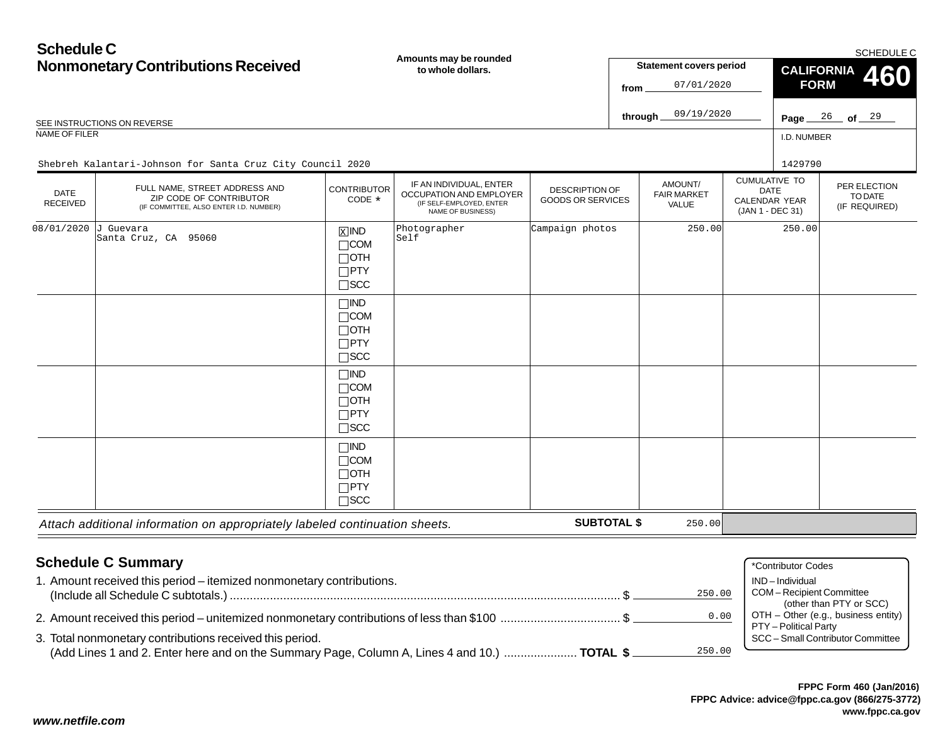# **Schedule CNonmonetary Contributions Received**

**Amounts may be rounded**

|                                | <b>Nonmonetary Contributions Received</b>                                                                                                                | Anivants may be rounded<br>to whole dollars.                                  |                                                                                                            |                                                   | <b>Statement covers period</b><br>07/01/2020<br>from |                                        |  | CALIFORNIA 460<br><b>FORM</b>                                            |                                                                |  |
|--------------------------------|----------------------------------------------------------------------------------------------------------------------------------------------------------|-------------------------------------------------------------------------------|------------------------------------------------------------------------------------------------------------|---------------------------------------------------|------------------------------------------------------|----------------------------------------|--|--------------------------------------------------------------------------|----------------------------------------------------------------|--|
|                                | SEE INSTRUCTIONS ON REVERSE                                                                                                                              |                                                                               |                                                                                                            |                                                   |                                                      | 09/19/2020<br>through_                 |  |                                                                          | Page $26$ of $29$                                              |  |
| <b>NAME OF FILER</b>           |                                                                                                                                                          |                                                                               |                                                                                                            |                                                   |                                                      |                                        |  | I.D. NUMBER                                                              |                                                                |  |
|                                | Shebreh Kalantari-Johnson for Santa Cruz City Council 2020                                                                                               |                                                                               |                                                                                                            |                                                   |                                                      |                                        |  | 1429790                                                                  |                                                                |  |
| <b>DATE</b><br><b>RECEIVED</b> | FULL NAME, STREET ADDRESS AND<br>ZIP CODE OF CONTRIBUTOR<br>(IF COMMITTEE, ALSO ENTER I.D. NUMBER)                                                       | <b>CONTRIBUTOR</b><br>CODE *                                                  | IF AN INDIVIDUAL, ENTER<br>OCCUPATION AND EMPLOYER<br>(IF SELF-EMPLOYED, ENTER<br><b>NAME OF BUSINESS)</b> | <b>DESCRIPTION OF</b><br><b>GOODS OR SERVICES</b> |                                                      | AMOUNT/<br><b>FAIR MARKET</b><br>VALUE |  | <b>CUMULATIVE TO</b><br>DATE<br><b>CALENDAR YEAR</b><br>(JAN 1 - DEC 31) | PER ELECTION<br>TO DATE<br>(IF REQUIRED)                       |  |
| 08/01/2020                     | J Guevara<br>Santa Cruz, CA 95060                                                                                                                        | $\overline{X}$ IND<br>$\Box$ COM<br>$\Box$ OTH<br>$\Box$ PTY<br>$\square$ SCC | Photographer<br>Self                                                                                       | Campaign photos                                   |                                                      | 250.00                                 |  | 250.00                                                                   |                                                                |  |
|                                |                                                                                                                                                          | $\Box$ IND<br>$\Box$ COM<br>$\Box$ OTH<br>$\Box$ PTY<br>$\square$ SCC         |                                                                                                            |                                                   |                                                      |                                        |  |                                                                          |                                                                |  |
|                                |                                                                                                                                                          | $\Box$ IND<br>$\Box$ COM<br>$\Box$ OTH<br>$\Box$ PTY<br>$\square$ SCC         |                                                                                                            |                                                   |                                                      |                                        |  |                                                                          |                                                                |  |
|                                |                                                                                                                                                          | $\Box$ IND<br>$\Box$ COM<br>$\Box$ OTH<br>$\Box$ PTY<br>$\square$ SCC         |                                                                                                            |                                                   |                                                      |                                        |  |                                                                          |                                                                |  |
|                                | Attach additional information on appropriately labeled continuation sheets.                                                                              |                                                                               |                                                                                                            | <b>SUBTOTAL \$</b>                                |                                                      | 250.00                                 |  |                                                                          |                                                                |  |
|                                | <b>Schedule C Summary</b><br>1. Amount received this period - itemized nonmonetary contributions.                                                        |                                                                               |                                                                                                            |                                                   |                                                      | 250.00                                 |  | *Contributor Codes<br>IND-Individual<br>COM-Recipient Committee          |                                                                |  |
|                                |                                                                                                                                                          |                                                                               |                                                                                                            |                                                   |                                                      | 0.00                                   |  | PTY - Political Party                                                    | (other than PTY or SCC)<br>OTH - Other (e.g., business entity) |  |
|                                | 3. Total nonmonetary contributions received this period.<br>(Add Lines 1 and 2. Enter here and on the Summary Page, Column A, Lines 4 and 10.)  TOTAL \$ |                                                                               |                                                                                                            |                                                   |                                                      | 250.00                                 |  |                                                                          | SCC - Small Contributor Committee                              |  |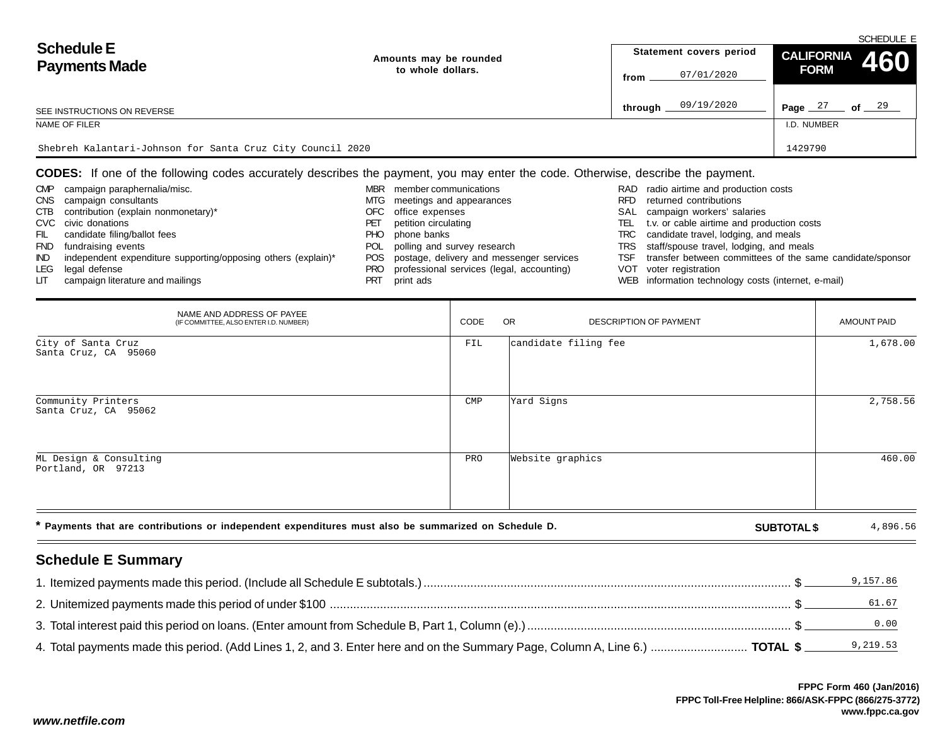| <b>Schedule E</b><br><b>Payments Made</b>                  | Amounts may be rounded |         | Statement covers period | CALIFORNIA 460 | SCHEDULE E        |
|------------------------------------------------------------|------------------------|---------|-------------------------|----------------|-------------------|
|                                                            | to whole dollars.      | from    | 07/01/2020              | <b>FORM</b>    |                   |
| SEE INSTRUCTIONS ON REVERSE                                |                        | through | 09/19/2020              | Page $27$      | of $\frac{29}{2}$ |
| NAME OF FILER                                              |                        |         |                         | I.D. NUMBER    |                   |
| Shebreh Kalantari-Johnson for Santa Cruz City Council 2020 | 1429790                |         |                         |                |                   |

#### **CODES:** If one of the following codes accurately describes the payment, you may enter the code. Otherwise, describe the payment.

| <b>CMP</b> | campaign paraphernalia/misc.                                  |      | member communications                        |      | RAD radio airtime and production costs                    |
|------------|---------------------------------------------------------------|------|----------------------------------------------|------|-----------------------------------------------------------|
| <b>CNS</b> | campaign consultants                                          | MTG  | meetings and appearances                     | RFD. | returned contributions                                    |
| CTB        | contribution (explain nonmonetary)*                           | OFC  | office expenses                              |      | SAL campaign workers' salaries                            |
|            | CVC civic donations                                           | PET  | petition circulating                         | TEL  | t.v. or cable airtime and production costs                |
| FIL        | candidate filing/ballot fees                                  | PHO. | phone banks                                  | TRC  | candidate travel, lodging, and meals                      |
| <b>FND</b> | fundraising events                                            |      | POL polling and survey research              |      | TRS staff/spouse travel, lodging, and meals               |
| IND.       | independent expenditure supporting/opposing others (explain)* |      | POS postage, delivery and messenger services | TSF  | transfer between committees of the same candidate/sponsor |
| LEG        | legal defense                                                 | PRO  | professional services (legal, accounting)    |      | VOT voter registration                                    |
| LIT.       | campaign literature and mailings                              | PRT  | print ads                                    |      | WEB information technology costs (internet, e-mail)       |

| NAME AND ADDRESS OF PAYEE<br>(IF COMMITTEE, ALSO ENTER I.D. NUMBER)                                  | CODE           | <b>OR</b><br>DESCRIPTION OF PAYMENT | AMOUNT PAID        |          |
|------------------------------------------------------------------------------------------------------|----------------|-------------------------------------|--------------------|----------|
| City of Santa Cruz<br>Santa Cruz, CA 95060                                                           | FIL            | candidate filing fee                |                    | 1,678.00 |
| Community Printers<br>Santa Cruz, CA 95062                                                           | $\mathsf{CMP}$ | Yard Signs                          |                    | 2,758.56 |
| ML Design & Consulting<br>Portland, OR 97213                                                         | PRO            | Website graphics                    |                    | 460.00   |
| * Payments that are contributions or independent expenditures must also be summarized on Schedule D. |                |                                     | <b>SUBTOTAL \$</b> | 4,896.56 |
| <b>Schedule E Summary</b>                                                                            |                |                                     |                    |          |

#### 1. Itemized payments made this period. (Include all Schedule E subtotals.) .............................................................................................................. \$ 9,157.862. Unitemized payments made this period of under \$100 .......................................................................................................................................... \$ 3. Total interest paid this period on loans. (Enter amount from Schedule B, Part 1, Column (e).)............................................................................... \$ 4. Total payments made this period. (Add Lines 1, 2, and 3. Enter here and on the Summary Page, Column A, Line 6.) ............................. **TOTAL \$** 9,219.5361.670.00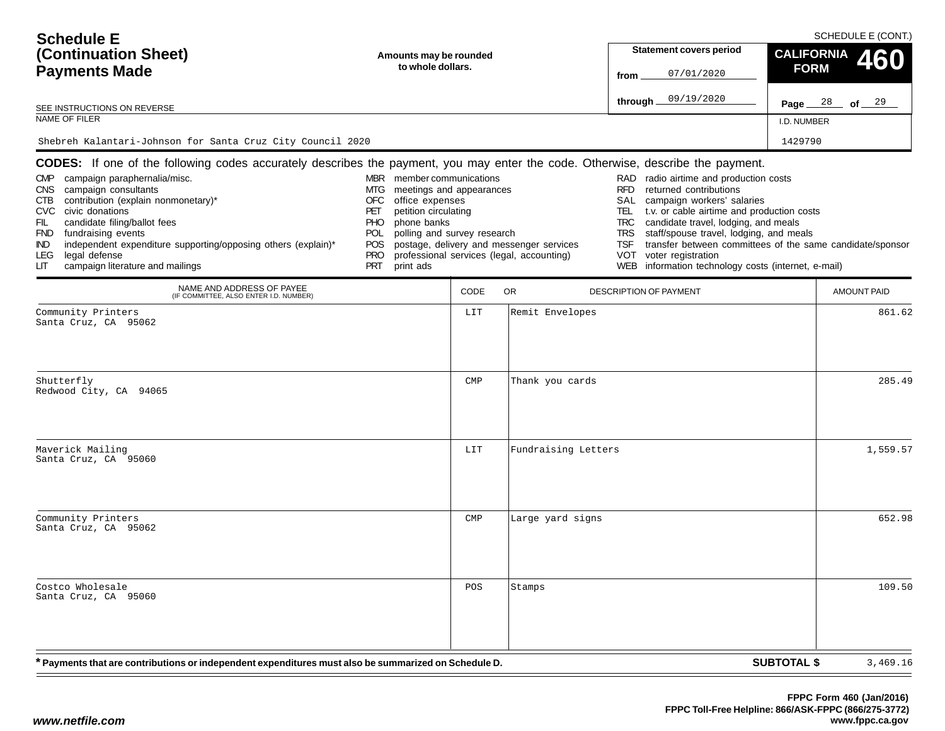| <b>Schedule E</b><br>(Continuation Sheet)<br><b>Payments Made</b>     | Amounts may be rounded<br>to whole dollars.                                                                                            | <b>Statement covers period</b><br>07/01/2020<br>from  | SCHEDULE E (CONT.)<br>CALIFORNIA 460<br><b>FORM</b>       |  |  |  |  |
|-----------------------------------------------------------------------|----------------------------------------------------------------------------------------------------------------------------------------|-------------------------------------------------------|-----------------------------------------------------------|--|--|--|--|
| SEE INSTRUCTIONS ON REVERSE                                           |                                                                                                                                        | 09/19/2020<br>through                                 | Page $28$ of $29$                                         |  |  |  |  |
| NAME OF FILER                                                         | I.D. NUMBER                                                                                                                            |                                                       |                                                           |  |  |  |  |
| Shebreh Kalantari-Johnson for Santa Cruz City Council 2020<br>1429790 |                                                                                                                                        |                                                       |                                                           |  |  |  |  |
|                                                                       | <b>CODES:</b> If one of the following codes accurately describes the payment, you may enter the code. Otherwise, describe the payment. |                                                       |                                                           |  |  |  |  |
| campaign paraphernalia/misc.<br><b>CMP</b>                            | member communications<br><b>MBR</b>                                                                                                    | RAD radio airtime and production costs                |                                                           |  |  |  |  |
| CNS.<br>campaign consultants                                          | meetings and appearances<br>MTG                                                                                                        | returned contributions<br>RFD.                        |                                                           |  |  |  |  |
| contribution (explain nonmonetary)*<br>CTB.                           | OFC<br>office expenses                                                                                                                 | campaign workers' salaries<br>SAL                     |                                                           |  |  |  |  |
| civic donations<br>CVC                                                | petition circulating<br>PET                                                                                                            | t.v. or cable airtime and production costs<br>TEL     |                                                           |  |  |  |  |
| candidate filing/ballot fees<br>FIL.                                  | <b>PHC</b><br>phone banks                                                                                                              | candidate travel, lodging, and meals<br>TRC.          |                                                           |  |  |  |  |
| <b>FND</b><br>fundraising events                                      | <b>POL</b><br>polling and survey research                                                                                              | <b>TRS</b><br>staff/spouse travel, lodging, and meals |                                                           |  |  |  |  |
| independent expenditure supporting/opposing others (explain)*<br>IND. | <b>POS</b><br>postage, delivery and messenger services                                                                                 | TSF                                                   | transfer between committees of the same candidate/sponsor |  |  |  |  |
| LEG<br>legal defense                                                  | <b>PRO</b><br>professional services (legal, accounting)                                                                                | VOT<br>voter registration                             |                                                           |  |  |  |  |

PRO professional services (legal, accounting)

PRT print ads

|  | transfer between committees of the same candidate/sponsor |
|--|-----------------------------------------------------------|

- VOT voter registration
- WEB information technology costs (internet, e-mail)

| NAME AND ADDRESS OF PAYEE<br>(IF COMMITTEE, ALSO ENTER I.D. NUMBER)                                  | CODE         | OR<br>DESCRIPTION OF PAYMENT | <b>AMOUNT PAID</b>             |
|------------------------------------------------------------------------------------------------------|--------------|------------------------------|--------------------------------|
| Community Printers<br>Santa Cruz, CA 95062                                                           | LIT          | Remit Envelopes              | 861.62                         |
| Shutterfly<br>Redwood City, CA 94065                                                                 | $\text{CMP}$ | Thank you cards              | 285.49                         |
| Maverick Mailing<br>Santa Cruz, CA 95060                                                             | LIT          | Fundraising Letters          | 1,559.57                       |
| Community Printers<br>Santa Cruz, CA 95062                                                           | $\text{CMP}$ | Large yard signs             | 652.98                         |
| Costco Wholesale<br>Santa Cruz, CA 95060                                                             | POS          | Stamps                       | 109.50                         |
| * Payments that are contributions or independent expenditures must also be summarized on Schedule D. |              |                              | <b>SUBTOTAL \$</b><br>3,469.16 |

LEG legal defense<br>LIT campaign litera

campaign literature and mailings